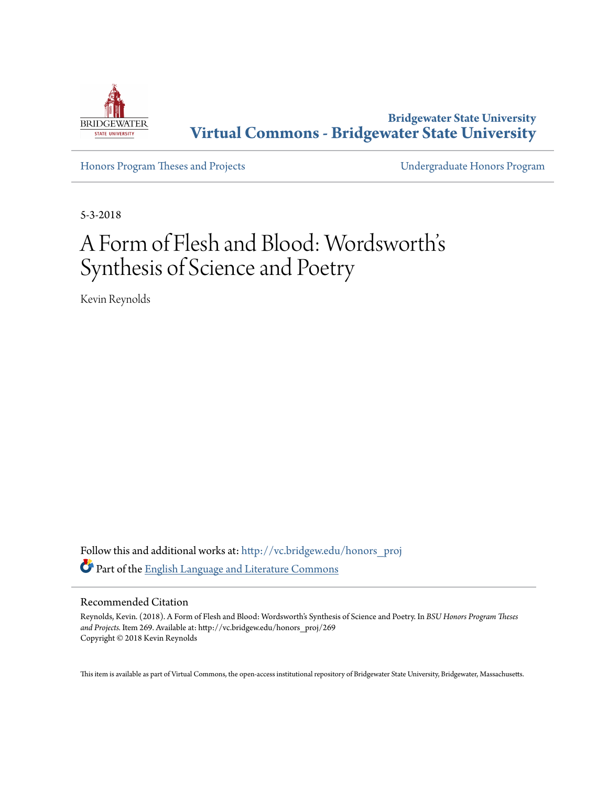

**Bridgewater State University [Virtual Commons - Bridgewater State University](http://vc.bridgew.edu?utm_source=vc.bridgew.edu%2Fhonors_proj%2F269&utm_medium=PDF&utm_campaign=PDFCoverPages)**

[Honors Program Theses and Projects](http://vc.bridgew.edu/honors_proj?utm_source=vc.bridgew.edu%2Fhonors_proj%2F269&utm_medium=PDF&utm_campaign=PDFCoverPages) [Undergraduate Honors Program](http://vc.bridgew.edu/honors?utm_source=vc.bridgew.edu%2Fhonors_proj%2F269&utm_medium=PDF&utm_campaign=PDFCoverPages)

5-3-2018

# A Form of Flesh and Blood: Wordsworth' s Synthesis of Science and Poetry

Kevin Reynolds

Follow this and additional works at: [http://vc.bridgew.edu/honors\\_proj](http://vc.bridgew.edu/honors_proj?utm_source=vc.bridgew.edu%2Fhonors_proj%2F269&utm_medium=PDF&utm_campaign=PDFCoverPages) Part of the [English Language and Literature Commons](http://network.bepress.com/hgg/discipline/455?utm_source=vc.bridgew.edu%2Fhonors_proj%2F269&utm_medium=PDF&utm_campaign=PDFCoverPages)

#### Recommended Citation

Reynolds, Kevin. (2018). A Form of Flesh and Blood: Wordsworth's Synthesis of Science and Poetry. In *BSU Honors Program Theses and Projects.* Item 269. Available at: http://vc.bridgew.edu/honors\_proj/269 Copyright © 2018 Kevin Reynolds

This item is available as part of Virtual Commons, the open-access institutional repository of Bridgewater State University, Bridgewater, Massachusetts.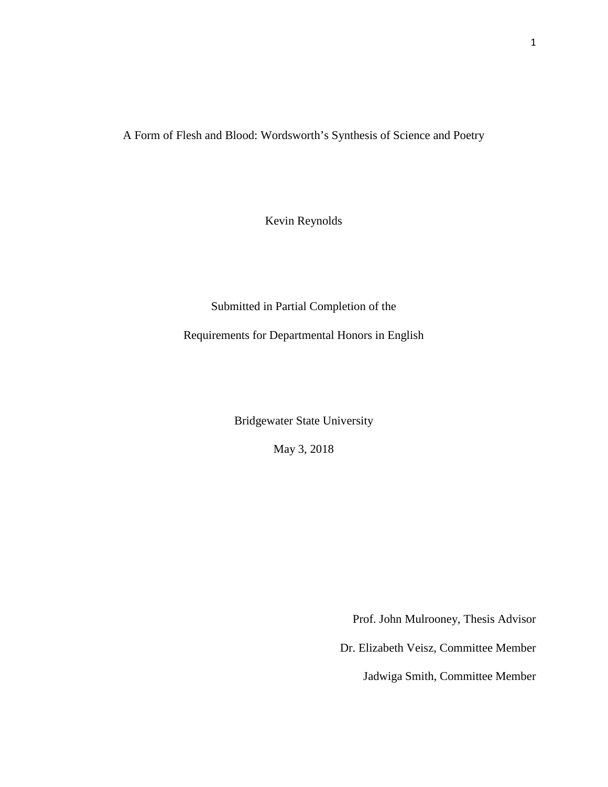A Form of Flesh and Blood: Wordsworth's Synthesis of Science and Poetry

Kevin Reynolds

Submitted in Partial Completion of the

Requirements for Departmental Honors in English

Bridgewater State University

May 3, 2018

Prof. John Mulrooney, Thesis Advisor

Dr. Elizabeth Veisz, Committee Member

Jadwiga Smith, Committee Member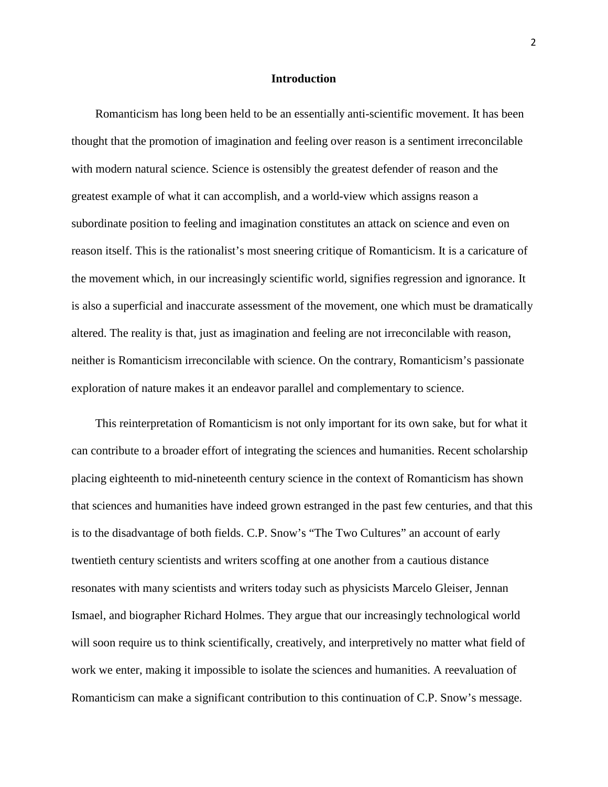#### **Introduction**

 Romanticism has long been held to be an essentially anti-scientific movement. It has been thought that the promotion of imagination and feeling over reason is a sentiment irreconcilable with modern natural science. Science is ostensibly the greatest defender of reason and the greatest example of what it can accomplish, and a world-view which assigns reason a subordinate position to feeling and imagination constitutes an attack on science and even on reason itself. This is the rationalist's most sneering critique of Romanticism. It is a caricature of the movement which, in our increasingly scientific world, signifies regression and ignorance. It is also a superficial and inaccurate assessment of the movement, one which must be dramatically altered. The reality is that, just as imagination and feeling are not irreconcilable with reason, neither is Romanticism irreconcilable with science. On the contrary, Romanticism's passionate exploration of nature makes it an endeavor parallel and complementary to science.

 This reinterpretation of Romanticism is not only important for its own sake, but for what it can contribute to a broader effort of integrating the sciences and humanities. Recent scholarship placing eighteenth to mid-nineteenth century science in the context of Romanticism has shown that sciences and humanities have indeed grown estranged in the past few centuries, and that this is to the disadvantage of both fields. C.P. Snow's "The Two Cultures" an account of early twentieth century scientists and writers scoffing at one another from a cautious distance resonates with many scientists and writers today such as physicists Marcelo Gleiser, Jennan Ismael, and biographer Richard Holmes. They argue that our increasingly technological world will soon require us to think scientifically, creatively, and interpretively no matter what field of work we enter, making it impossible to isolate the sciences and humanities. A reevaluation of Romanticism can make a significant contribution to this continuation of C.P. Snow's message.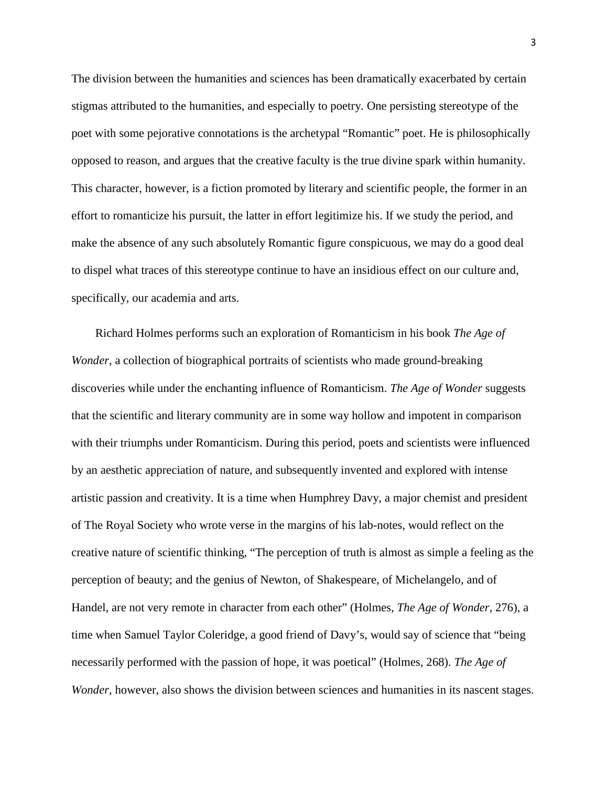The division between the humanities and sciences has been dramatically exacerbated by certain stigmas attributed to the humanities, and especially to poetry. One persisting stereotype of the poet with some pejorative connotations is the archetypal "Romantic" poet. He is philosophically opposed to reason, and argues that the creative faculty is the true divine spark within humanity. This character, however, is a fiction promoted by literary and scientific people, the former in an effort to romanticize his pursuit, the latter in effort legitimize his. If we study the period, and make the absence of any such absolutely Romantic figure conspicuous, we may do a good deal to dispel what traces of this stereotype continue to have an insidious effect on our culture and, specifically, our academia and arts.

 Richard Holmes performs such an exploration of Romanticism in his book *The Age of Wonder*, a collection of biographical portraits of scientists who made ground-breaking discoveries while under the enchanting influence of Romanticism. *The Age of Wonder* suggests that the scientific and literary community are in some way hollow and impotent in comparison with their triumphs under Romanticism. During this period, poets and scientists were influenced by an aesthetic appreciation of nature, and subsequently invented and explored with intense artistic passion and creativity. It is a time when Humphrey Davy, a major chemist and president of The Royal Society who wrote verse in the margins of his lab-notes, would reflect on the creative nature of scientific thinking, "The perception of truth is almost as simple a feeling as the perception of beauty; and the genius of Newton, of Shakespeare, of Michelangelo, and of Handel, are not very remote in character from each other" (Holmes, *The Age of Wonder*, 276), a time when Samuel Taylor Coleridge, a good friend of Davy's, would say of science that "being necessarily performed with the passion of hope, it was poetical" (Holmes, 268). *The Age of Wonder*, however, also shows the division between sciences and humanities in its nascent stages.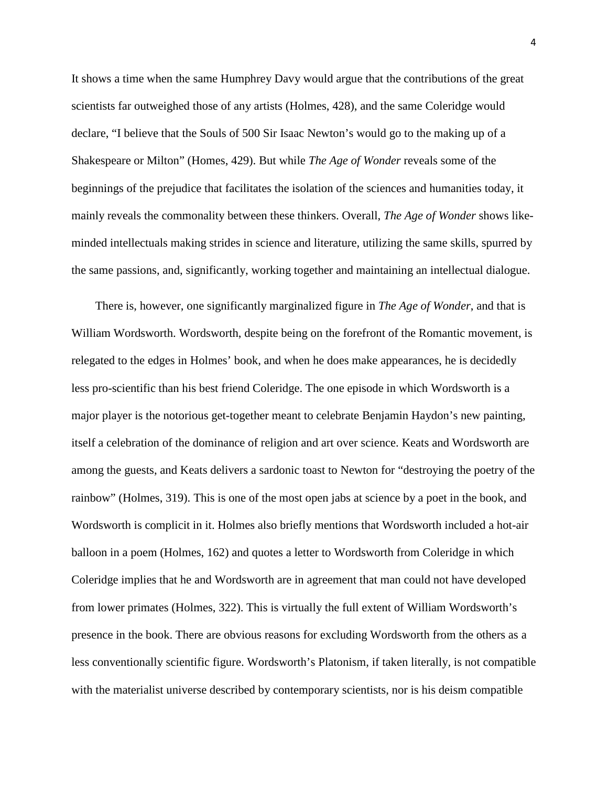It shows a time when the same Humphrey Davy would argue that the contributions of the great scientists far outweighed those of any artists (Holmes, 428), and the same Coleridge would declare, "I believe that the Souls of 500 Sir Isaac Newton's would go to the making up of a Shakespeare or Milton" (Homes, 429). But while *The Age of Wonder* reveals some of the beginnings of the prejudice that facilitates the isolation of the sciences and humanities today, it mainly reveals the commonality between these thinkers. Overall, *The Age of Wonder* shows likeminded intellectuals making strides in science and literature, utilizing the same skills, spurred by the same passions, and, significantly, working together and maintaining an intellectual dialogue.

 There is, however, one significantly marginalized figure in *The Age of Wonder*, and that is William Wordsworth. Wordsworth, despite being on the forefront of the Romantic movement, is relegated to the edges in Holmes' book, and when he does make appearances, he is decidedly less pro-scientific than his best friend Coleridge. The one episode in which Wordsworth is a major player is the notorious get-together meant to celebrate Benjamin Haydon's new painting, itself a celebration of the dominance of religion and art over science. Keats and Wordsworth are among the guests, and Keats delivers a sardonic toast to Newton for "destroying the poetry of the rainbow" (Holmes, 319). This is one of the most open jabs at science by a poet in the book, and Wordsworth is complicit in it. Holmes also briefly mentions that Wordsworth included a hot-air balloon in a poem (Holmes, 162) and quotes a letter to Wordsworth from Coleridge in which Coleridge implies that he and Wordsworth are in agreement that man could not have developed from lower primates (Holmes, 322). This is virtually the full extent of William Wordsworth's presence in the book. There are obvious reasons for excluding Wordsworth from the others as a less conventionally scientific figure. Wordsworth's Platonism, if taken literally, is not compatible with the materialist universe described by contemporary scientists, nor is his deism compatible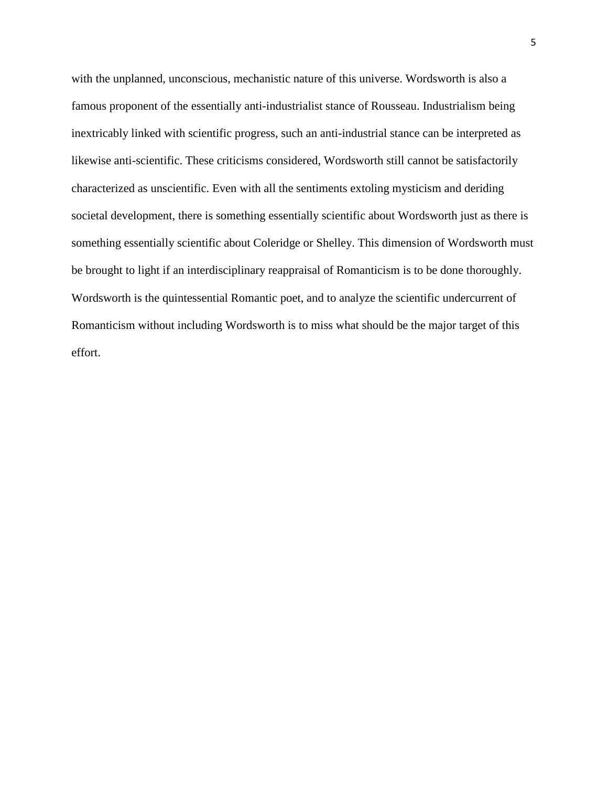with the unplanned, unconscious, mechanistic nature of this universe. Wordsworth is also a famous proponent of the essentially anti-industrialist stance of Rousseau. Industrialism being inextricably linked with scientific progress, such an anti-industrial stance can be interpreted as likewise anti-scientific. These criticisms considered, Wordsworth still cannot be satisfactorily characterized as unscientific. Even with all the sentiments extoling mysticism and deriding societal development, there is something essentially scientific about Wordsworth just as there is something essentially scientific about Coleridge or Shelley. This dimension of Wordsworth must be brought to light if an interdisciplinary reappraisal of Romanticism is to be done thoroughly. Wordsworth is the quintessential Romantic poet, and to analyze the scientific undercurrent of Romanticism without including Wordsworth is to miss what should be the major target of this effort.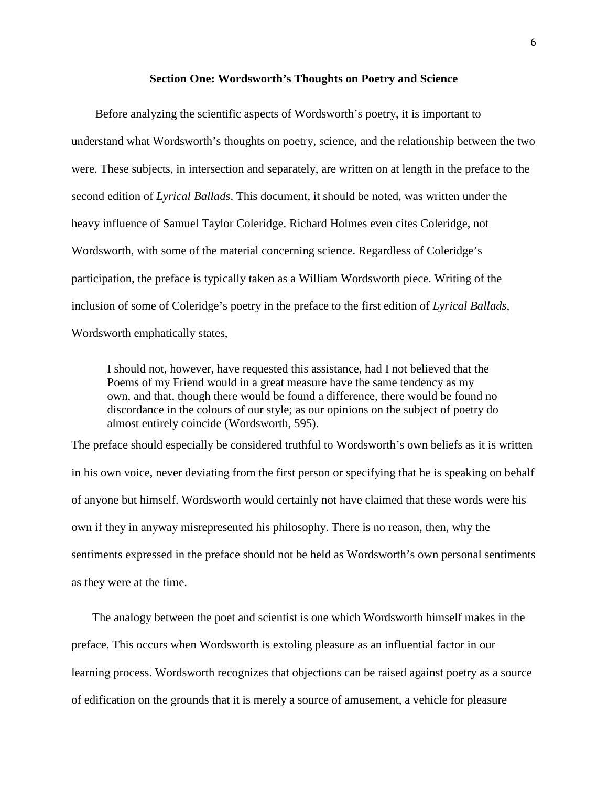#### **Section One: Wordsworth's Thoughts on Poetry and Science**

 Before analyzing the scientific aspects of Wordsworth's poetry, it is important to understand what Wordsworth's thoughts on poetry, science, and the relationship between the two were. These subjects, in intersection and separately, are written on at length in the preface to the second edition of *Lyrical Ballads*. This document, it should be noted, was written under the heavy influence of Samuel Taylor Coleridge. Richard Holmes even cites Coleridge, not Wordsworth, with some of the material concerning science. Regardless of Coleridge's participation, the preface is typically taken as a William Wordsworth piece. Writing of the inclusion of some of Coleridge's poetry in the preface to the first edition of *Lyrical Ballads*, Wordsworth emphatically states,

I should not, however, have requested this assistance, had I not believed that the Poems of my Friend would in a great measure have the same tendency as my own, and that, though there would be found a difference, there would be found no discordance in the colours of our style; as our opinions on the subject of poetry do almost entirely coincide (Wordsworth, 595).

The preface should especially be considered truthful to Wordsworth's own beliefs as it is written in his own voice, never deviating from the first person or specifying that he is speaking on behalf of anyone but himself. Wordsworth would certainly not have claimed that these words were his own if they in anyway misrepresented his philosophy. There is no reason, then, why the sentiments expressed in the preface should not be held as Wordsworth's own personal sentiments as they were at the time.

 The analogy between the poet and scientist is one which Wordsworth himself makes in the preface. This occurs when Wordsworth is extoling pleasure as an influential factor in our learning process. Wordsworth recognizes that objections can be raised against poetry as a source of edification on the grounds that it is merely a source of amusement, a vehicle for pleasure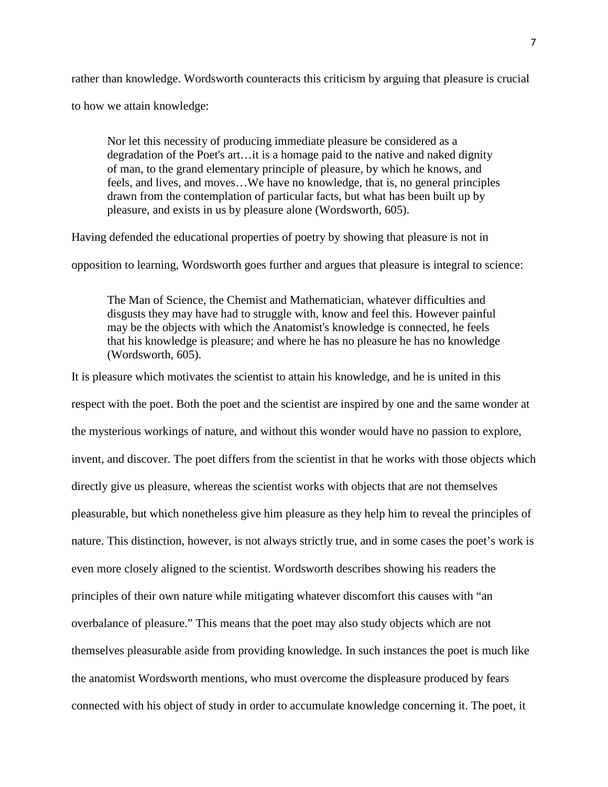rather than knowledge. Wordsworth counteracts this criticism by arguing that pleasure is crucial to how we attain knowledge:

Nor let this necessity of producing immediate pleasure be considered as a degradation of the Poet's art…it is a homage paid to the native and naked dignity of man, to the grand elementary principle of pleasure, by which he knows, and feels, and lives, and moves…We have no knowledge, that is, no general principles drawn from the contemplation of particular facts, but what has been built up by pleasure, and exists in us by pleasure alone (Wordsworth, 605).

Having defended the educational properties of poetry by showing that pleasure is not in

opposition to learning, Wordsworth goes further and argues that pleasure is integral to science:

The Man of Science, the Chemist and Mathematician, whatever difficulties and disgusts they may have had to struggle with, know and feel this. However painful may be the objects with which the Anatomist's knowledge is connected, he feels that his knowledge is pleasure; and where he has no pleasure he has no knowledge (Wordsworth, 605).

It is pleasure which motivates the scientist to attain his knowledge, and he is united in this respect with the poet. Both the poet and the scientist are inspired by one and the same wonder at the mysterious workings of nature, and without this wonder would have no passion to explore, invent, and discover. The poet differs from the scientist in that he works with those objects which directly give us pleasure, whereas the scientist works with objects that are not themselves pleasurable, but which nonetheless give him pleasure as they help him to reveal the principles of nature. This distinction, however, is not always strictly true, and in some cases the poet's work is even more closely aligned to the scientist. Wordsworth describes showing his readers the principles of their own nature while mitigating whatever discomfort this causes with "an overbalance of pleasure." This means that the poet may also study objects which are not themselves pleasurable aside from providing knowledge. In such instances the poet is much like the anatomist Wordsworth mentions, who must overcome the displeasure produced by fears connected with his object of study in order to accumulate knowledge concerning it. The poet, it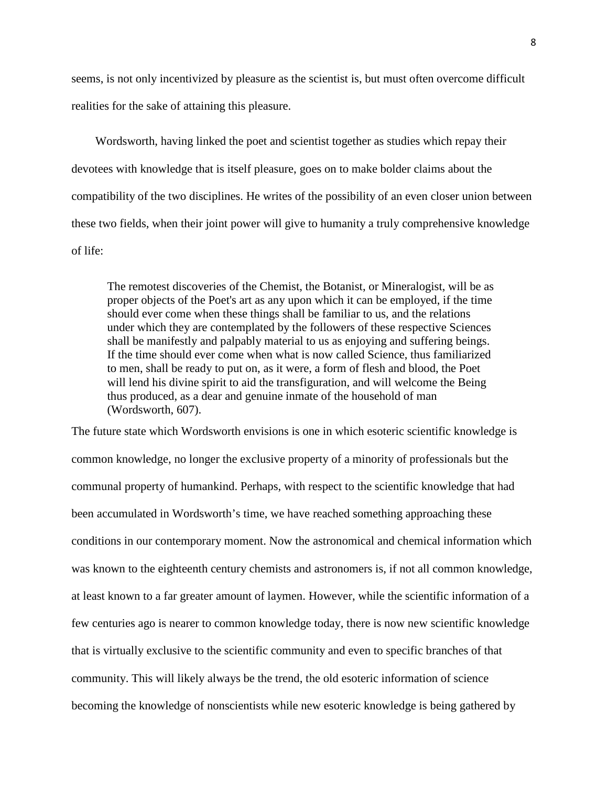seems, is not only incentivized by pleasure as the scientist is, but must often overcome difficult realities for the sake of attaining this pleasure.

 Wordsworth, having linked the poet and scientist together as studies which repay their devotees with knowledge that is itself pleasure, goes on to make bolder claims about the compatibility of the two disciplines. He writes of the possibility of an even closer union between these two fields, when their joint power will give to humanity a truly comprehensive knowledge of life:

The remotest discoveries of the Chemist, the Botanist, or Mineralogist, will be as proper objects of the Poet's art as any upon which it can be employed, if the time should ever come when these things shall be familiar to us, and the relations under which they are contemplated by the followers of these respective Sciences shall be manifestly and palpably material to us as enjoying and suffering beings. If the time should ever come when what is now called Science, thus familiarized to men, shall be ready to put on, as it were, a form of flesh and blood, the Poet will lend his divine spirit to aid the transfiguration, and will welcome the Being thus produced, as a dear and genuine inmate of the household of man (Wordsworth, 607).

The future state which Wordsworth envisions is one in which esoteric scientific knowledge is common knowledge, no longer the exclusive property of a minority of professionals but the communal property of humankind. Perhaps, with respect to the scientific knowledge that had been accumulated in Wordsworth's time, we have reached something approaching these conditions in our contemporary moment. Now the astronomical and chemical information which was known to the eighteenth century chemists and astronomers is, if not all common knowledge, at least known to a far greater amount of laymen. However, while the scientific information of a few centuries ago is nearer to common knowledge today, there is now new scientific knowledge that is virtually exclusive to the scientific community and even to specific branches of that community. This will likely always be the trend, the old esoteric information of science becoming the knowledge of nonscientists while new esoteric knowledge is being gathered by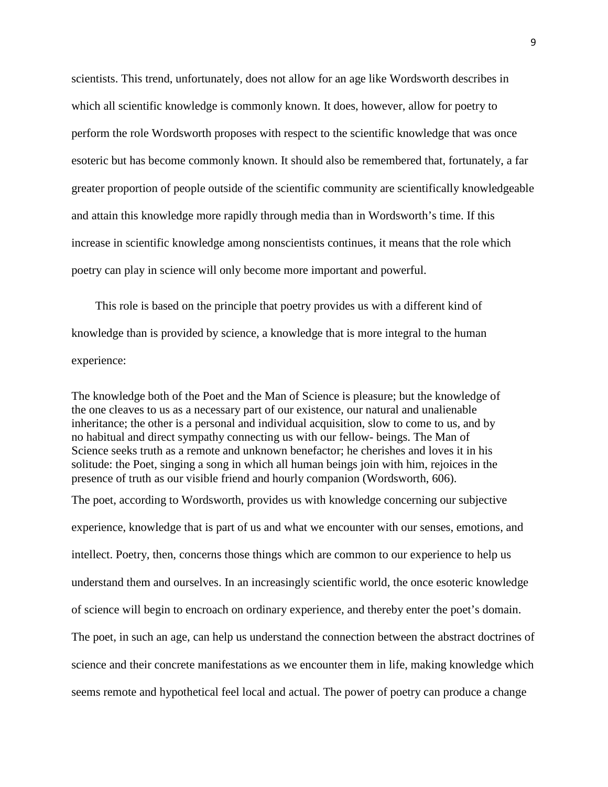scientists. This trend, unfortunately, does not allow for an age like Wordsworth describes in which all scientific knowledge is commonly known. It does, however, allow for poetry to perform the role Wordsworth proposes with respect to the scientific knowledge that was once esoteric but has become commonly known. It should also be remembered that, fortunately, a far greater proportion of people outside of the scientific community are scientifically knowledgeable and attain this knowledge more rapidly through media than in Wordsworth's time. If this increase in scientific knowledge among nonscientists continues, it means that the role which poetry can play in science will only become more important and powerful.

 This role is based on the principle that poetry provides us with a different kind of knowledge than is provided by science, a knowledge that is more integral to the human experience:

The knowledge both of the Poet and the Man of Science is pleasure; but the knowledge of the one cleaves to us as a necessary part of our existence, our natural and unalienable inheritance; the other is a personal and individual acquisition, slow to come to us, and by no habitual and direct sympathy connecting us with our fellow- beings. The Man of Science seeks truth as a remote and unknown benefactor; he cherishes and loves it in his solitude: the Poet, singing a song in which all human beings join with him, rejoices in the presence of truth as our visible friend and hourly companion (Wordsworth, 606).

The poet, according to Wordsworth, provides us with knowledge concerning our subjective experience, knowledge that is part of us and what we encounter with our senses, emotions, and intellect. Poetry, then, concerns those things which are common to our experience to help us understand them and ourselves. In an increasingly scientific world, the once esoteric knowledge of science will begin to encroach on ordinary experience, and thereby enter the poet's domain. The poet, in such an age, can help us understand the connection between the abstract doctrines of science and their concrete manifestations as we encounter them in life, making knowledge which seems remote and hypothetical feel local and actual. The power of poetry can produce a change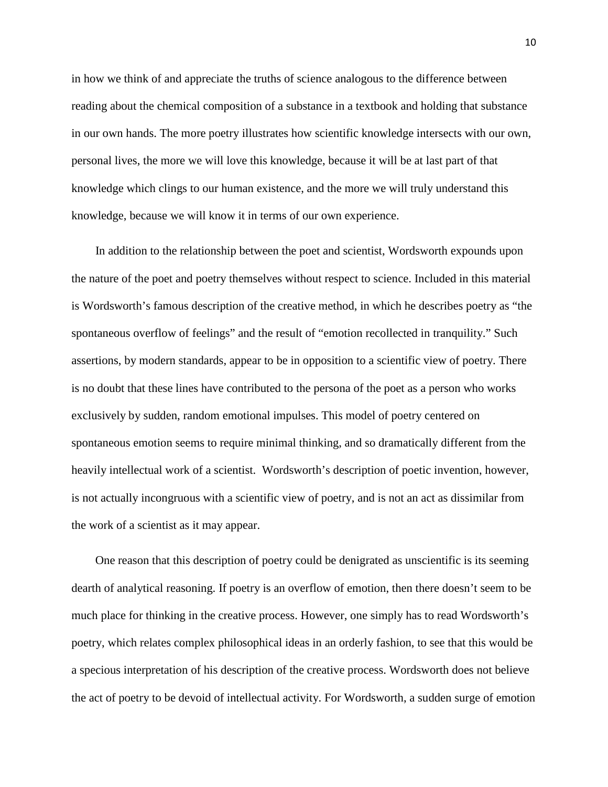in how we think of and appreciate the truths of science analogous to the difference between reading about the chemical composition of a substance in a textbook and holding that substance in our own hands. The more poetry illustrates how scientific knowledge intersects with our own, personal lives, the more we will love this knowledge, because it will be at last part of that knowledge which clings to our human existence, and the more we will truly understand this knowledge, because we will know it in terms of our own experience.

 In addition to the relationship between the poet and scientist, Wordsworth expounds upon the nature of the poet and poetry themselves without respect to science. Included in this material is Wordsworth's famous description of the creative method, in which he describes poetry as "the spontaneous overflow of feelings" and the result of "emotion recollected in tranquility." Such assertions, by modern standards, appear to be in opposition to a scientific view of poetry. There is no doubt that these lines have contributed to the persona of the poet as a person who works exclusively by sudden, random emotional impulses. This model of poetry centered on spontaneous emotion seems to require minimal thinking, and so dramatically different from the heavily intellectual work of a scientist. Wordsworth's description of poetic invention, however, is not actually incongruous with a scientific view of poetry, and is not an act as dissimilar from the work of a scientist as it may appear.

 One reason that this description of poetry could be denigrated as unscientific is its seeming dearth of analytical reasoning. If poetry is an overflow of emotion, then there doesn't seem to be much place for thinking in the creative process. However, one simply has to read Wordsworth's poetry, which relates complex philosophical ideas in an orderly fashion, to see that this would be a specious interpretation of his description of the creative process. Wordsworth does not believe the act of poetry to be devoid of intellectual activity. For Wordsworth, a sudden surge of emotion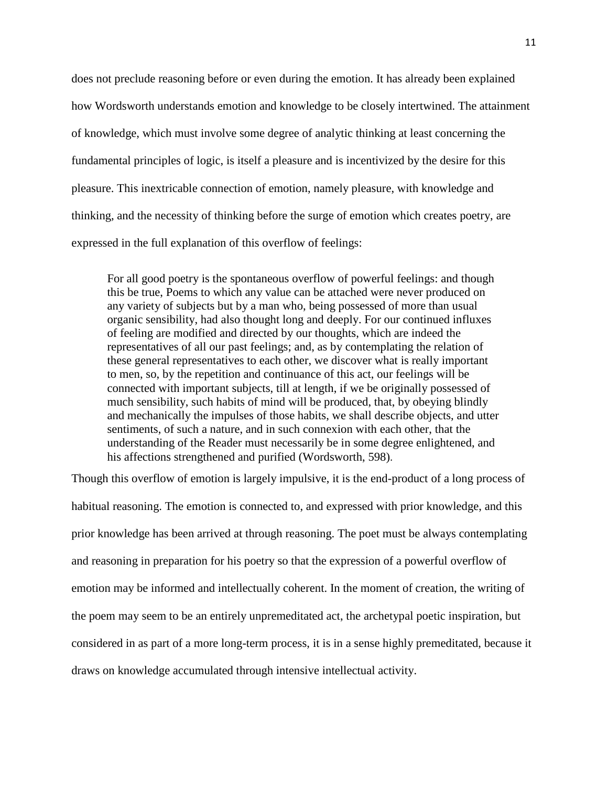does not preclude reasoning before or even during the emotion. It has already been explained how Wordsworth understands emotion and knowledge to be closely intertwined. The attainment of knowledge, which must involve some degree of analytic thinking at least concerning the fundamental principles of logic, is itself a pleasure and is incentivized by the desire for this pleasure. This inextricable connection of emotion, namely pleasure, with knowledge and thinking, and the necessity of thinking before the surge of emotion which creates poetry, are expressed in the full explanation of this overflow of feelings:

For all good poetry is the spontaneous overflow of powerful feelings: and though this be true, Poems to which any value can be attached were never produced on any variety of subjects but by a man who, being possessed of more than usual organic sensibility, had also thought long and deeply. For our continued influxes of feeling are modified and directed by our thoughts, which are indeed the representatives of all our past feelings; and, as by contemplating the relation of these general representatives to each other, we discover what is really important to men, so, by the repetition and continuance of this act, our feelings will be connected with important subjects, till at length, if we be originally possessed of much sensibility, such habits of mind will be produced, that, by obeying blindly and mechanically the impulses of those habits, we shall describe objects, and utter sentiments, of such a nature, and in such connexion with each other, that the understanding of the Reader must necessarily be in some degree enlightened, and his affections strengthened and purified (Wordsworth, 598).

Though this overflow of emotion is largely impulsive, it is the end-product of a long process of habitual reasoning. The emotion is connected to, and expressed with prior knowledge, and this prior knowledge has been arrived at through reasoning. The poet must be always contemplating and reasoning in preparation for his poetry so that the expression of a powerful overflow of emotion may be informed and intellectually coherent. In the moment of creation, the writing of the poem may seem to be an entirely unpremeditated act, the archetypal poetic inspiration, but considered in as part of a more long-term process, it is in a sense highly premeditated, because it draws on knowledge accumulated through intensive intellectual activity.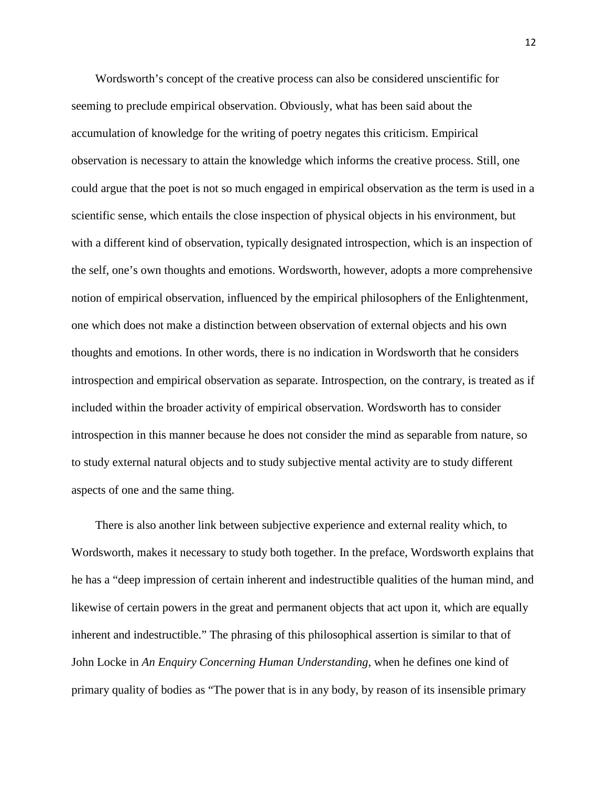Wordsworth's concept of the creative process can also be considered unscientific for seeming to preclude empirical observation. Obviously, what has been said about the accumulation of knowledge for the writing of poetry negates this criticism. Empirical observation is necessary to attain the knowledge which informs the creative process. Still, one could argue that the poet is not so much engaged in empirical observation as the term is used in a scientific sense, which entails the close inspection of physical objects in his environment, but with a different kind of observation, typically designated introspection, which is an inspection of the self, one's own thoughts and emotions. Wordsworth, however, adopts a more comprehensive notion of empirical observation, influenced by the empirical philosophers of the Enlightenment, one which does not make a distinction between observation of external objects and his own thoughts and emotions. In other words, there is no indication in Wordsworth that he considers introspection and empirical observation as separate. Introspection, on the contrary, is treated as if included within the broader activity of empirical observation. Wordsworth has to consider introspection in this manner because he does not consider the mind as separable from nature, so to study external natural objects and to study subjective mental activity are to study different aspects of one and the same thing.

 There is also another link between subjective experience and external reality which, to Wordsworth, makes it necessary to study both together. In the preface, Wordsworth explains that he has a "deep impression of certain inherent and indestructible qualities of the human mind, and likewise of certain powers in the great and permanent objects that act upon it, which are equally inherent and indestructible." The phrasing of this philosophical assertion is similar to that of John Locke in *An Enquiry Concerning Human Understanding*, when he defines one kind of primary quality of bodies as "The power that is in any body, by reason of its insensible primary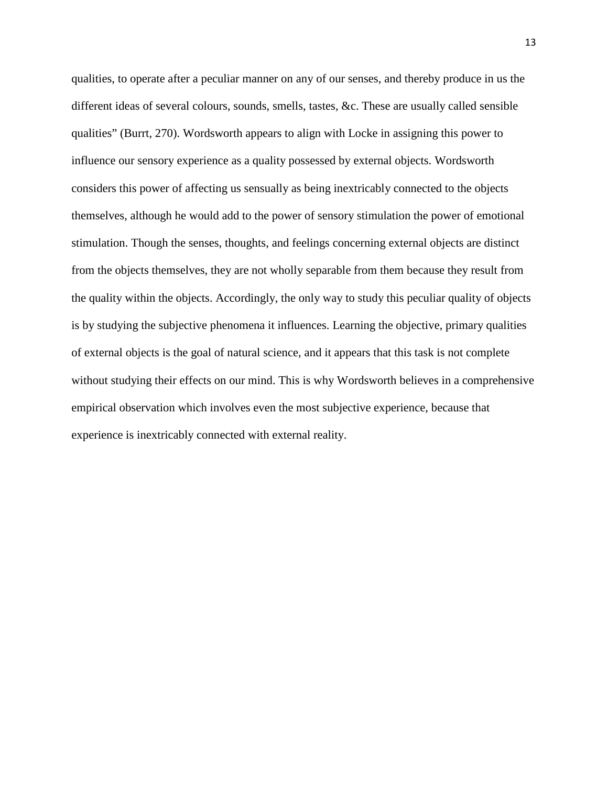qualities, to operate after a peculiar manner on any of our senses, and thereby produce in us the different ideas of several colours, sounds, smells, tastes, &c. These are usually called sensible qualities" (Burrt, 270). Wordsworth appears to align with Locke in assigning this power to influence our sensory experience as a quality possessed by external objects. Wordsworth considers this power of affecting us sensually as being inextricably connected to the objects themselves, although he would add to the power of sensory stimulation the power of emotional stimulation. Though the senses, thoughts, and feelings concerning external objects are distinct from the objects themselves, they are not wholly separable from them because they result from the quality within the objects. Accordingly, the only way to study this peculiar quality of objects is by studying the subjective phenomena it influences. Learning the objective, primary qualities of external objects is the goal of natural science, and it appears that this task is not complete without studying their effects on our mind. This is why Wordsworth believes in a comprehensive empirical observation which involves even the most subjective experience, because that experience is inextricably connected with external reality.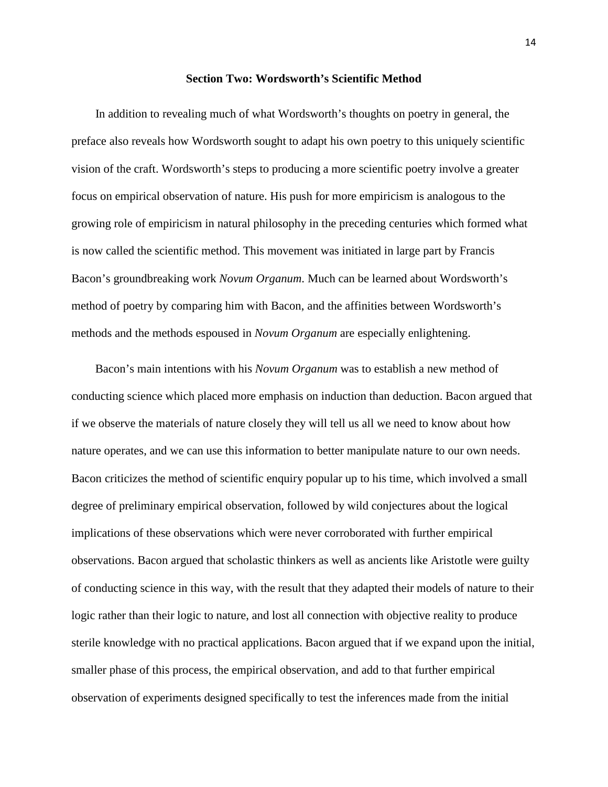#### **Section Two: Wordsworth's Scientific Method**

 In addition to revealing much of what Wordsworth's thoughts on poetry in general, the preface also reveals how Wordsworth sought to adapt his own poetry to this uniquely scientific vision of the craft. Wordsworth's steps to producing a more scientific poetry involve a greater focus on empirical observation of nature. His push for more empiricism is analogous to the growing role of empiricism in natural philosophy in the preceding centuries which formed what is now called the scientific method. This movement was initiated in large part by Francis Bacon's groundbreaking work *Novum Organum*. Much can be learned about Wordsworth's method of poetry by comparing him with Bacon, and the affinities between Wordsworth's methods and the methods espoused in *Novum Organum* are especially enlightening.

 Bacon's main intentions with his *Novum Organum* was to establish a new method of conducting science which placed more emphasis on induction than deduction. Bacon argued that if we observe the materials of nature closely they will tell us all we need to know about how nature operates, and we can use this information to better manipulate nature to our own needs. Bacon criticizes the method of scientific enquiry popular up to his time, which involved a small degree of preliminary empirical observation, followed by wild conjectures about the logical implications of these observations which were never corroborated with further empirical observations. Bacon argued that scholastic thinkers as well as ancients like Aristotle were guilty of conducting science in this way, with the result that they adapted their models of nature to their logic rather than their logic to nature, and lost all connection with objective reality to produce sterile knowledge with no practical applications. Bacon argued that if we expand upon the initial, smaller phase of this process, the empirical observation, and add to that further empirical observation of experiments designed specifically to test the inferences made from the initial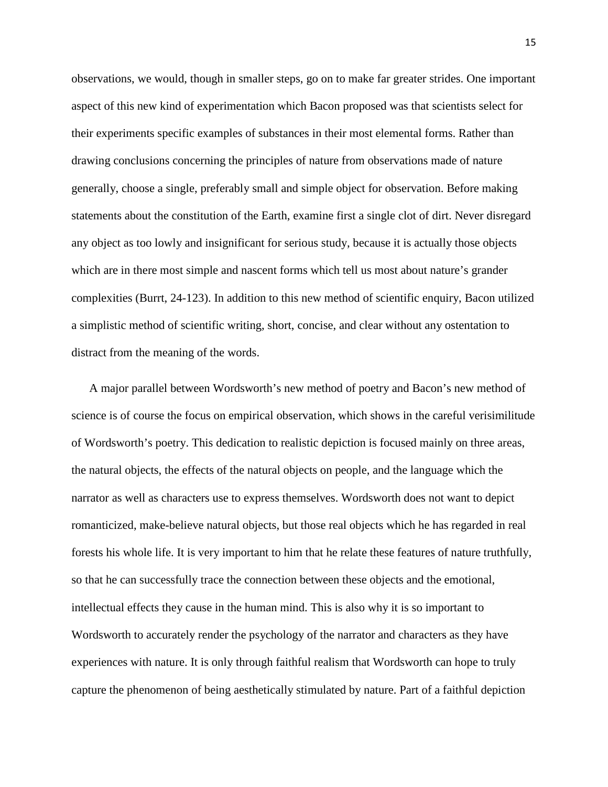observations, we would, though in smaller steps, go on to make far greater strides. One important aspect of this new kind of experimentation which Bacon proposed was that scientists select for their experiments specific examples of substances in their most elemental forms. Rather than drawing conclusions concerning the principles of nature from observations made of nature generally, choose a single, preferably small and simple object for observation. Before making statements about the constitution of the Earth, examine first a single clot of dirt. Never disregard any object as too lowly and insignificant for serious study, because it is actually those objects which are in there most simple and nascent forms which tell us most about nature's grander complexities (Burrt, 24-123). In addition to this new method of scientific enquiry, Bacon utilized a simplistic method of scientific writing, short, concise, and clear without any ostentation to distract from the meaning of the words.

 A major parallel between Wordsworth's new method of poetry and Bacon's new method of science is of course the focus on empirical observation, which shows in the careful verisimilitude of Wordsworth's poetry. This dedication to realistic depiction is focused mainly on three areas, the natural objects, the effects of the natural objects on people, and the language which the narrator as well as characters use to express themselves. Wordsworth does not want to depict romanticized, make-believe natural objects, but those real objects which he has regarded in real forests his whole life. It is very important to him that he relate these features of nature truthfully, so that he can successfully trace the connection between these objects and the emotional, intellectual effects they cause in the human mind. This is also why it is so important to Wordsworth to accurately render the psychology of the narrator and characters as they have experiences with nature. It is only through faithful realism that Wordsworth can hope to truly capture the phenomenon of being aesthetically stimulated by nature. Part of a faithful depiction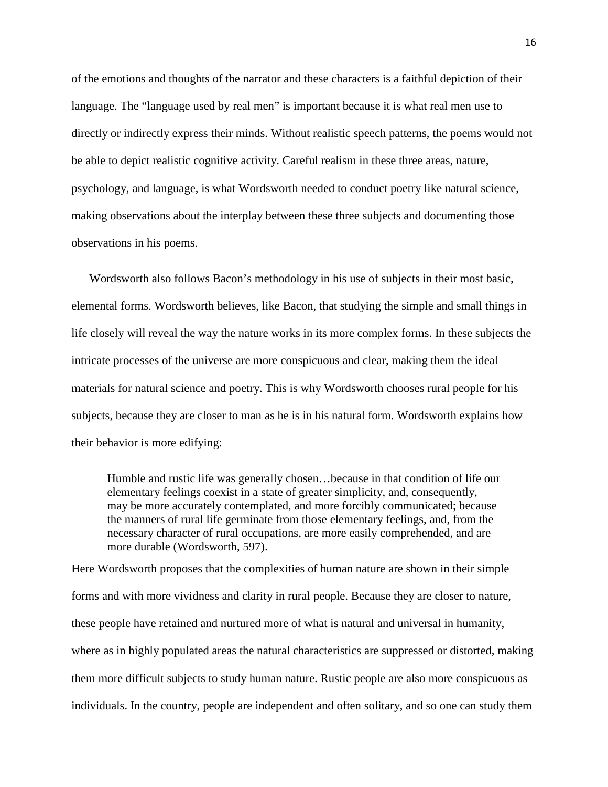of the emotions and thoughts of the narrator and these characters is a faithful depiction of their language. The "language used by real men" is important because it is what real men use to directly or indirectly express their minds. Without realistic speech patterns, the poems would not be able to depict realistic cognitive activity. Careful realism in these three areas, nature, psychology, and language, is what Wordsworth needed to conduct poetry like natural science, making observations about the interplay between these three subjects and documenting those observations in his poems.

 Wordsworth also follows Bacon's methodology in his use of subjects in their most basic, elemental forms. Wordsworth believes, like Bacon, that studying the simple and small things in life closely will reveal the way the nature works in its more complex forms. In these subjects the intricate processes of the universe are more conspicuous and clear, making them the ideal materials for natural science and poetry. This is why Wordsworth chooses rural people for his subjects, because they are closer to man as he is in his natural form. Wordsworth explains how their behavior is more edifying:

Humble and rustic life was generally chosen…because in that condition of life our elementary feelings coexist in a state of greater simplicity, and, consequently, may be more accurately contemplated, and more forcibly communicated; because the manners of rural life germinate from those elementary feelings, and, from the necessary character of rural occupations, are more easily comprehended, and are more durable (Wordsworth, 597).

Here Wordsworth proposes that the complexities of human nature are shown in their simple forms and with more vividness and clarity in rural people. Because they are closer to nature, these people have retained and nurtured more of what is natural and universal in humanity, where as in highly populated areas the natural characteristics are suppressed or distorted, making them more difficult subjects to study human nature. Rustic people are also more conspicuous as individuals. In the country, people are independent and often solitary, and so one can study them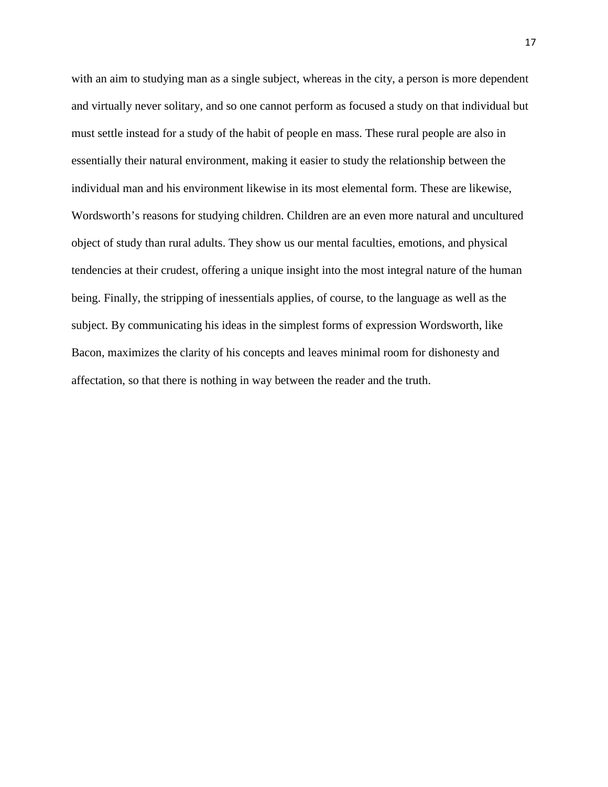with an aim to studying man as a single subject, whereas in the city, a person is more dependent and virtually never solitary, and so one cannot perform as focused a study on that individual but must settle instead for a study of the habit of people en mass. These rural people are also in essentially their natural environment, making it easier to study the relationship between the individual man and his environment likewise in its most elemental form. These are likewise, Wordsworth's reasons for studying children. Children are an even more natural and uncultured object of study than rural adults. They show us our mental faculties, emotions, and physical tendencies at their crudest, offering a unique insight into the most integral nature of the human being. Finally, the stripping of inessentials applies, of course, to the language as well as the subject. By communicating his ideas in the simplest forms of expression Wordsworth, like Bacon, maximizes the clarity of his concepts and leaves minimal room for dishonesty and affectation, so that there is nothing in way between the reader and the truth.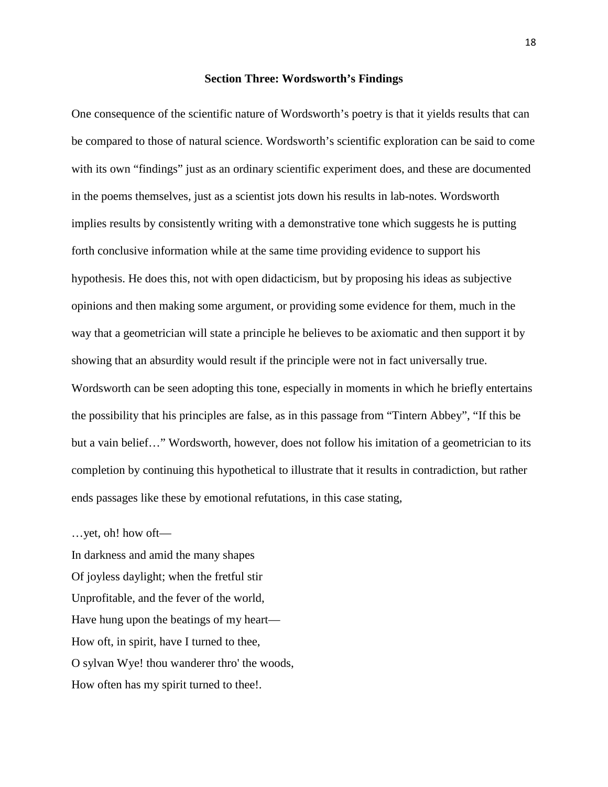#### **Section Three: Wordsworth's Findings**

One consequence of the scientific nature of Wordsworth's poetry is that it yields results that can be compared to those of natural science. Wordsworth's scientific exploration can be said to come with its own "findings" just as an ordinary scientific experiment does, and these are documented in the poems themselves, just as a scientist jots down his results in lab-notes. Wordsworth implies results by consistently writing with a demonstrative tone which suggests he is putting forth conclusive information while at the same time providing evidence to support his hypothesis. He does this, not with open didacticism, but by proposing his ideas as subjective opinions and then making some argument, or providing some evidence for them, much in the way that a geometrician will state a principle he believes to be axiomatic and then support it by showing that an absurdity would result if the principle were not in fact universally true. Wordsworth can be seen adopting this tone, especially in moments in which he briefly entertains the possibility that his principles are false, as in this passage from "Tintern Abbey", "If this be but a vain belief…" Wordsworth, however, does not follow his imitation of a geometrician to its completion by continuing this hypothetical to illustrate that it results in contradiction, but rather ends passages like these by emotional refutations, in this case stating,

…yet, oh! how oft—

In darkness and amid the many shapes Of joyless daylight; when the fretful stir Unprofitable, and the fever of the world, Have hung upon the beatings of my heart— How oft, in spirit, have I turned to thee, O sylvan Wye! thou wanderer thro' the woods, How often has my spirit turned to thee!.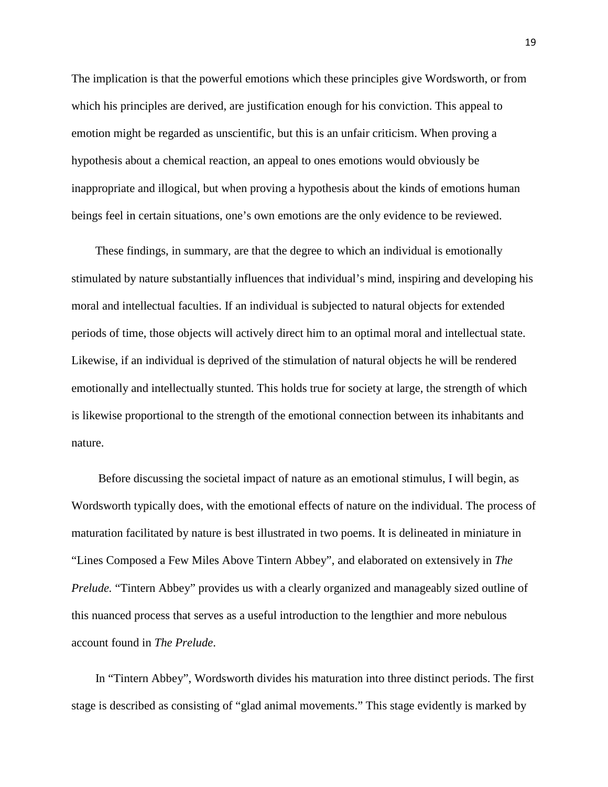The implication is that the powerful emotions which these principles give Wordsworth, or from which his principles are derived, are justification enough for his conviction. This appeal to emotion might be regarded as unscientific, but this is an unfair criticism. When proving a hypothesis about a chemical reaction, an appeal to ones emotions would obviously be inappropriate and illogical, but when proving a hypothesis about the kinds of emotions human beings feel in certain situations, one's own emotions are the only evidence to be reviewed.

 These findings, in summary, are that the degree to which an individual is emotionally stimulated by nature substantially influences that individual's mind, inspiring and developing his moral and intellectual faculties. If an individual is subjected to natural objects for extended periods of time, those objects will actively direct him to an optimal moral and intellectual state. Likewise, if an individual is deprived of the stimulation of natural objects he will be rendered emotionally and intellectually stunted. This holds true for society at large, the strength of which is likewise proportional to the strength of the emotional connection between its inhabitants and nature.

 Before discussing the societal impact of nature as an emotional stimulus, I will begin, as Wordsworth typically does, with the emotional effects of nature on the individual. The process of maturation facilitated by nature is best illustrated in two poems. It is delineated in miniature in "Lines Composed a Few Miles Above Tintern Abbey", and elaborated on extensively in *The Prelude.* "Tintern Abbey" provides us with a clearly organized and manageably sized outline of this nuanced process that serves as a useful introduction to the lengthier and more nebulous account found in *The Prelude*.

 In "Tintern Abbey", Wordsworth divides his maturation into three distinct periods. The first stage is described as consisting of "glad animal movements." This stage evidently is marked by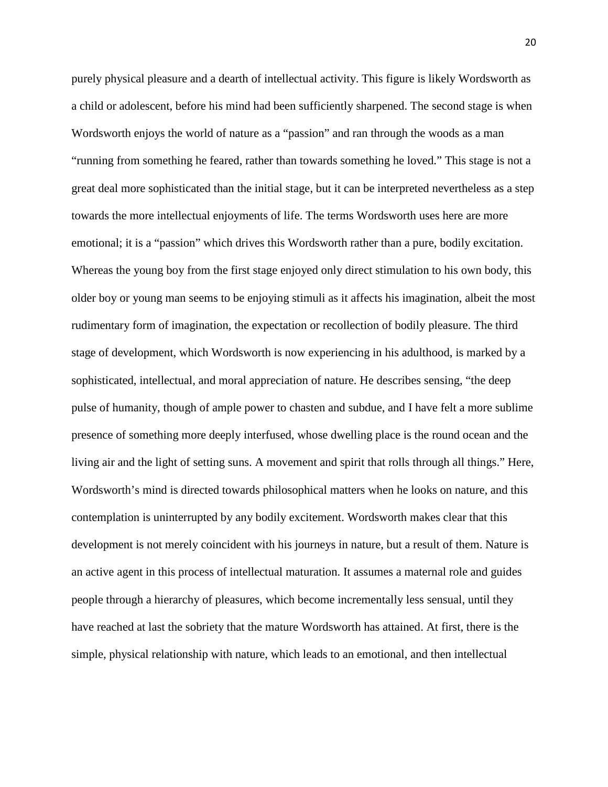purely physical pleasure and a dearth of intellectual activity. This figure is likely Wordsworth as a child or adolescent, before his mind had been sufficiently sharpened. The second stage is when Wordsworth enjoys the world of nature as a "passion" and ran through the woods as a man "running from something he feared, rather than towards something he loved." This stage is not a great deal more sophisticated than the initial stage, but it can be interpreted nevertheless as a step towards the more intellectual enjoyments of life. The terms Wordsworth uses here are more emotional; it is a "passion" which drives this Wordsworth rather than a pure, bodily excitation. Whereas the young boy from the first stage enjoyed only direct stimulation to his own body, this older boy or young man seems to be enjoying stimuli as it affects his imagination, albeit the most rudimentary form of imagination, the expectation or recollection of bodily pleasure. The third stage of development, which Wordsworth is now experiencing in his adulthood, is marked by a sophisticated, intellectual, and moral appreciation of nature. He describes sensing, "the deep pulse of humanity, though of ample power to chasten and subdue, and I have felt a more sublime presence of something more deeply interfused, whose dwelling place is the round ocean and the living air and the light of setting suns. A movement and spirit that rolls through all things." Here, Wordsworth's mind is directed towards philosophical matters when he looks on nature, and this contemplation is uninterrupted by any bodily excitement. Wordsworth makes clear that this development is not merely coincident with his journeys in nature, but a result of them. Nature is an active agent in this process of intellectual maturation. It assumes a maternal role and guides people through a hierarchy of pleasures, which become incrementally less sensual, until they have reached at last the sobriety that the mature Wordsworth has attained. At first, there is the simple, physical relationship with nature, which leads to an emotional, and then intellectual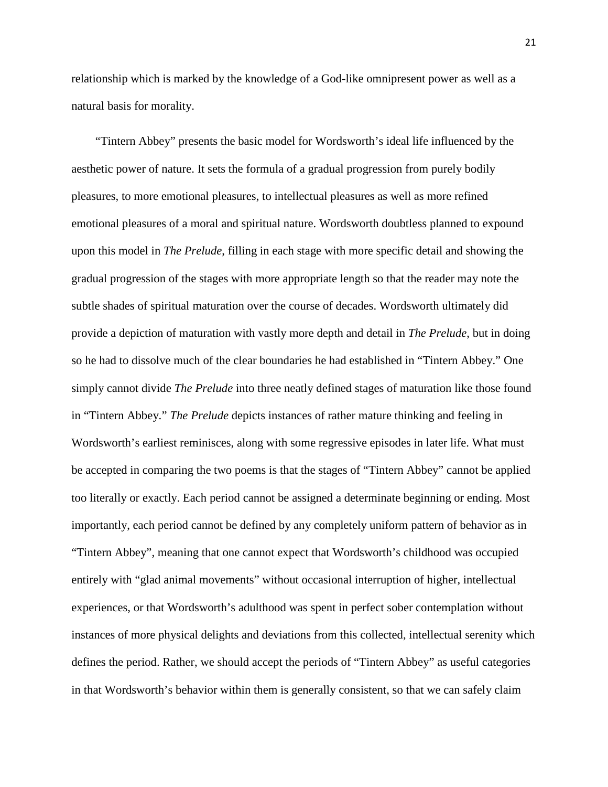relationship which is marked by the knowledge of a God-like omnipresent power as well as a natural basis for morality.

 "Tintern Abbey" presents the basic model for Wordsworth's ideal life influenced by the aesthetic power of nature. It sets the formula of a gradual progression from purely bodily pleasures, to more emotional pleasures, to intellectual pleasures as well as more refined emotional pleasures of a moral and spiritual nature. Wordsworth doubtless planned to expound upon this model in *The Prelude*, filling in each stage with more specific detail and showing the gradual progression of the stages with more appropriate length so that the reader may note the subtle shades of spiritual maturation over the course of decades. Wordsworth ultimately did provide a depiction of maturation with vastly more depth and detail in *The Prelude*, but in doing so he had to dissolve much of the clear boundaries he had established in "Tintern Abbey." One simply cannot divide *The Prelude* into three neatly defined stages of maturation like those found in "Tintern Abbey." *The Prelude* depicts instances of rather mature thinking and feeling in Wordsworth's earliest reminisces, along with some regressive episodes in later life. What must be accepted in comparing the two poems is that the stages of "Tintern Abbey" cannot be applied too literally or exactly. Each period cannot be assigned a determinate beginning or ending. Most importantly, each period cannot be defined by any completely uniform pattern of behavior as in "Tintern Abbey", meaning that one cannot expect that Wordsworth's childhood was occupied entirely with "glad animal movements" without occasional interruption of higher, intellectual experiences, or that Wordsworth's adulthood was spent in perfect sober contemplation without instances of more physical delights and deviations from this collected, intellectual serenity which defines the period. Rather, we should accept the periods of "Tintern Abbey" as useful categories in that Wordsworth's behavior within them is generally consistent, so that we can safely claim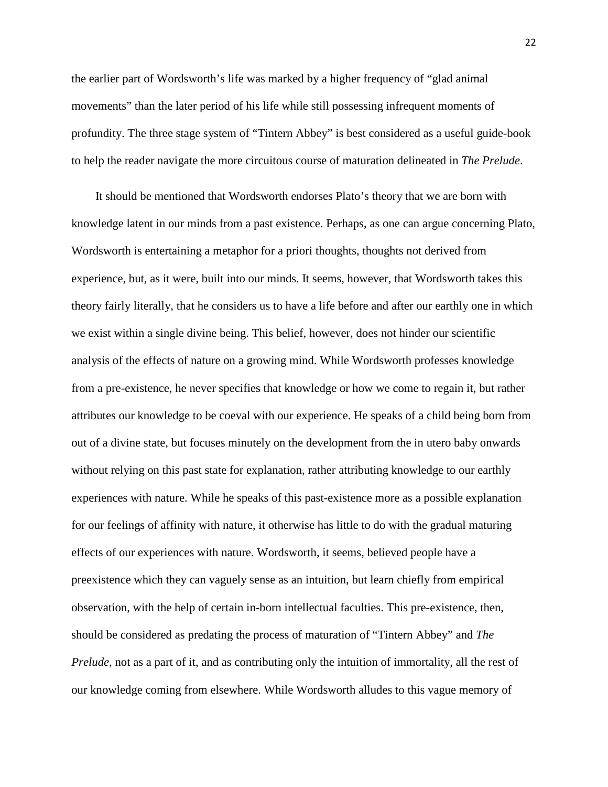the earlier part of Wordsworth's life was marked by a higher frequency of "glad animal movements" than the later period of his life while still possessing infrequent moments of profundity. The three stage system of "Tintern Abbey" is best considered as a useful guide-book to help the reader navigate the more circuitous course of maturation delineated in *The Prelude*.

 It should be mentioned that Wordsworth endorses Plato's theory that we are born with knowledge latent in our minds from a past existence. Perhaps, as one can argue concerning Plato, Wordsworth is entertaining a metaphor for a priori thoughts, thoughts not derived from experience, but, as it were, built into our minds. It seems, however, that Wordsworth takes this theory fairly literally, that he considers us to have a life before and after our earthly one in which we exist within a single divine being. This belief, however, does not hinder our scientific analysis of the effects of nature on a growing mind. While Wordsworth professes knowledge from a pre-existence, he never specifies that knowledge or how we come to regain it, but rather attributes our knowledge to be coeval with our experience. He speaks of a child being born from out of a divine state, but focuses minutely on the development from the in utero baby onwards without relying on this past state for explanation, rather attributing knowledge to our earthly experiences with nature. While he speaks of this past-existence more as a possible explanation for our feelings of affinity with nature, it otherwise has little to do with the gradual maturing effects of our experiences with nature. Wordsworth, it seems, believed people have a preexistence which they can vaguely sense as an intuition, but learn chiefly from empirical observation, with the help of certain in-born intellectual faculties. This pre-existence, then, should be considered as predating the process of maturation of "Tintern Abbey" and *The Prelude*, not as a part of it, and as contributing only the intuition of immortality, all the rest of our knowledge coming from elsewhere. While Wordsworth alludes to this vague memory of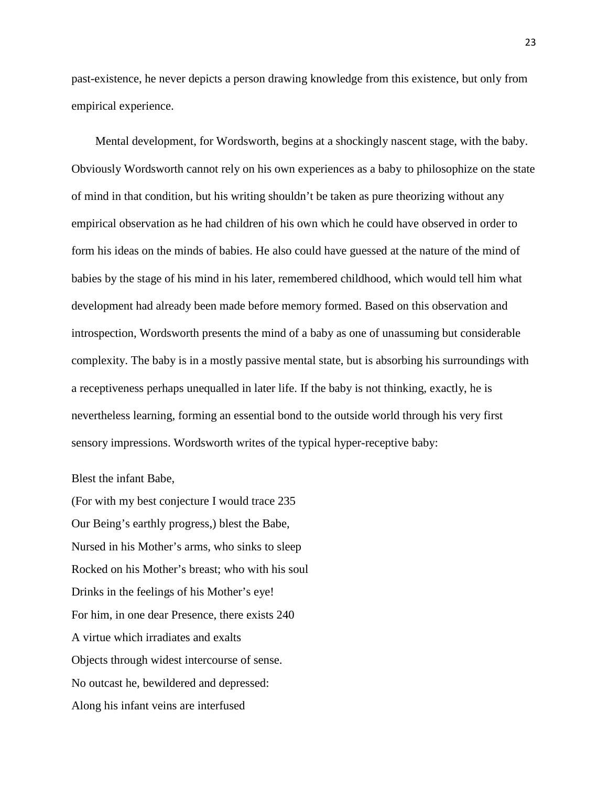past-existence, he never depicts a person drawing knowledge from this existence, but only from empirical experience.

 Mental development, for Wordsworth, begins at a shockingly nascent stage, with the baby. Obviously Wordsworth cannot rely on his own experiences as a baby to philosophize on the state of mind in that condition, but his writing shouldn't be taken as pure theorizing without any empirical observation as he had children of his own which he could have observed in order to form his ideas on the minds of babies. He also could have guessed at the nature of the mind of babies by the stage of his mind in his later, remembered childhood, which would tell him what development had already been made before memory formed. Based on this observation and introspection, Wordsworth presents the mind of a baby as one of unassuming but considerable complexity. The baby is in a mostly passive mental state, but is absorbing his surroundings with a receptiveness perhaps unequalled in later life. If the baby is not thinking, exactly, he is nevertheless learning, forming an essential bond to the outside world through his very first sensory impressions. Wordsworth writes of the typical hyper-receptive baby:

#### Blest the infant Babe,

(For with my best conjecture I would trace 235 Our Being's earthly progress,) blest the Babe, Nursed in his Mother's arms, who sinks to sleep Rocked on his Mother's breast; who with his soul Drinks in the feelings of his Mother's eye! For him, in one dear Presence, there exists 240 A virtue which irradiates and exalts Objects through widest intercourse of sense. No outcast he, bewildered and depressed: Along his infant veins are interfused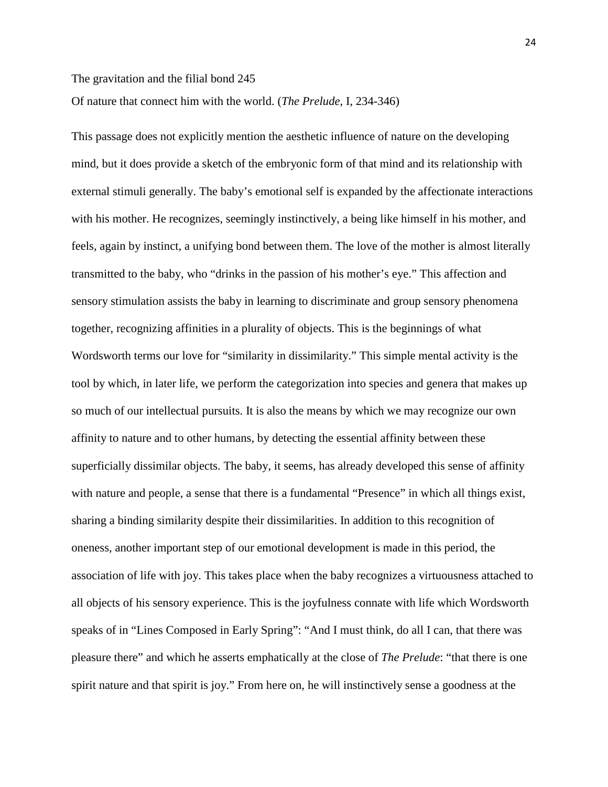## The gravitation and the filial bond 245

## Of nature that connect him with the world. (*The Prelude*, I, 234-346)

This passage does not explicitly mention the aesthetic influence of nature on the developing mind, but it does provide a sketch of the embryonic form of that mind and its relationship with external stimuli generally. The baby's emotional self is expanded by the affectionate interactions with his mother. He recognizes, seemingly instinctively, a being like himself in his mother, and feels, again by instinct, a unifying bond between them. The love of the mother is almost literally transmitted to the baby, who "drinks in the passion of his mother's eye." This affection and sensory stimulation assists the baby in learning to discriminate and group sensory phenomena together, recognizing affinities in a plurality of objects. This is the beginnings of what Wordsworth terms our love for "similarity in dissimilarity." This simple mental activity is the tool by which, in later life, we perform the categorization into species and genera that makes up so much of our intellectual pursuits. It is also the means by which we may recognize our own affinity to nature and to other humans, by detecting the essential affinity between these superficially dissimilar objects. The baby, it seems, has already developed this sense of affinity with nature and people, a sense that there is a fundamental "Presence" in which all things exist, sharing a binding similarity despite their dissimilarities. In addition to this recognition of oneness, another important step of our emotional development is made in this period, the association of life with joy. This takes place when the baby recognizes a virtuousness attached to all objects of his sensory experience. This is the joyfulness connate with life which Wordsworth speaks of in "Lines Composed in Early Spring": "And I must think, do all I can, that there was pleasure there" and which he asserts emphatically at the close of *The Prelude*: "that there is one spirit nature and that spirit is joy." From here on, he will instinctively sense a goodness at the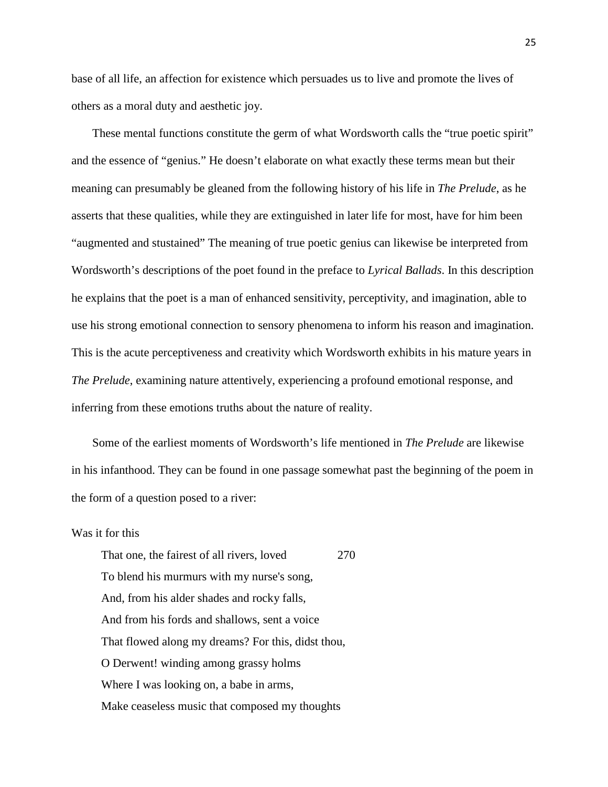base of all life, an affection for existence which persuades us to live and promote the lives of others as a moral duty and aesthetic joy.

These mental functions constitute the germ of what Wordsworth calls the "true poetic spirit" and the essence of "genius." He doesn't elaborate on what exactly these terms mean but their meaning can presumably be gleaned from the following history of his life in *The Prelude*, as he asserts that these qualities, while they are extinguished in later life for most, have for him been "augmented and stustained" The meaning of true poetic genius can likewise be interpreted from Wordsworth's descriptions of the poet found in the preface to *Lyrical Ballads*. In this description he explains that the poet is a man of enhanced sensitivity, perceptivity, and imagination, able to use his strong emotional connection to sensory phenomena to inform his reason and imagination. This is the acute perceptiveness and creativity which Wordsworth exhibits in his mature years in *The Prelude*, examining nature attentively, experiencing a profound emotional response, and inferring from these emotions truths about the nature of reality.

 Some of the earliest moments of Wordsworth's life mentioned in *The Prelude* are likewise in his infanthood. They can be found in one passage somewhat past the beginning of the poem in the form of a question posed to a river:

### Was it for this

That one, the fairest of all rivers, loved 270 To blend his murmurs with my nurse's song, And, from his alder shades and rocky falls, And from his fords and shallows, sent a voice That flowed along my dreams? For this, didst thou, O Derwent! winding among grassy holms Where I was looking on, a babe in arms, Make ceaseless music that composed my thoughts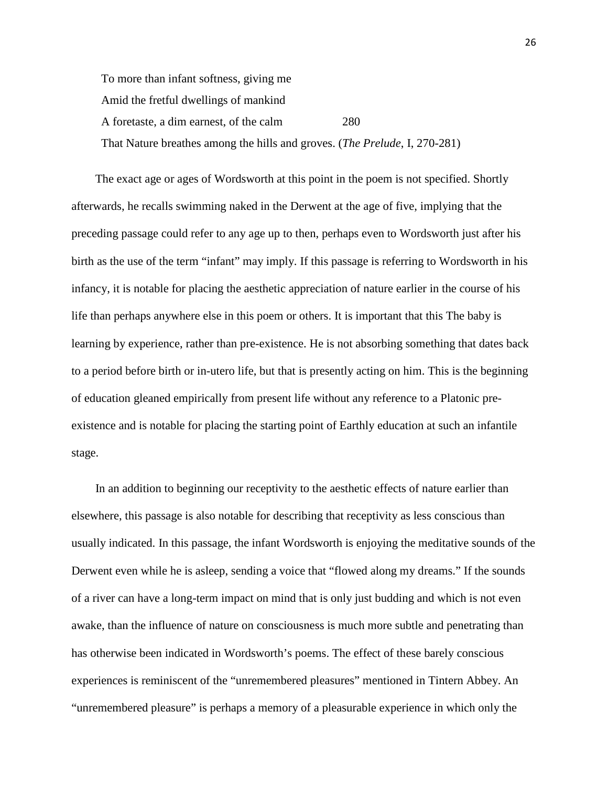To more than infant softness, giving me Amid the fretful dwellings of mankind A foretaste, a dim earnest, of the calm 280 That Nature breathes among the hills and groves. (*The Prelude*, I, 270-281)

 The exact age or ages of Wordsworth at this point in the poem is not specified. Shortly afterwards, he recalls swimming naked in the Derwent at the age of five, implying that the preceding passage could refer to any age up to then, perhaps even to Wordsworth just after his birth as the use of the term "infant" may imply. If this passage is referring to Wordsworth in his infancy, it is notable for placing the aesthetic appreciation of nature earlier in the course of his life than perhaps anywhere else in this poem or others. It is important that this The baby is learning by experience, rather than pre-existence. He is not absorbing something that dates back to a period before birth or in-utero life, but that is presently acting on him. This is the beginning of education gleaned empirically from present life without any reference to a Platonic preexistence and is notable for placing the starting point of Earthly education at such an infantile stage.

 In an addition to beginning our receptivity to the aesthetic effects of nature earlier than elsewhere, this passage is also notable for describing that receptivity as less conscious than usually indicated. In this passage, the infant Wordsworth is enjoying the meditative sounds of the Derwent even while he is asleep, sending a voice that "flowed along my dreams." If the sounds of a river can have a long-term impact on mind that is only just budding and which is not even awake, than the influence of nature on consciousness is much more subtle and penetrating than has otherwise been indicated in Wordsworth's poems. The effect of these barely conscious experiences is reminiscent of the "unremembered pleasures" mentioned in Tintern Abbey. An "unremembered pleasure" is perhaps a memory of a pleasurable experience in which only the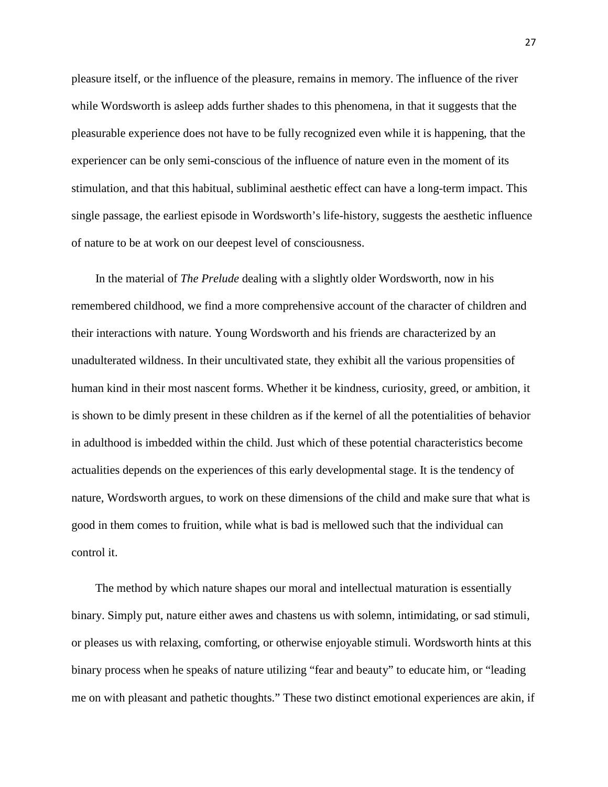pleasure itself, or the influence of the pleasure, remains in memory. The influence of the river while Wordsworth is asleep adds further shades to this phenomena, in that it suggests that the pleasurable experience does not have to be fully recognized even while it is happening, that the experiencer can be only semi-conscious of the influence of nature even in the moment of its stimulation, and that this habitual, subliminal aesthetic effect can have a long-term impact. This single passage, the earliest episode in Wordsworth's life-history, suggests the aesthetic influence of nature to be at work on our deepest level of consciousness.

 In the material of *The Prelude* dealing with a slightly older Wordsworth, now in his remembered childhood, we find a more comprehensive account of the character of children and their interactions with nature. Young Wordsworth and his friends are characterized by an unadulterated wildness. In their uncultivated state, they exhibit all the various propensities of human kind in their most nascent forms. Whether it be kindness, curiosity, greed, or ambition, it is shown to be dimly present in these children as if the kernel of all the potentialities of behavior in adulthood is imbedded within the child. Just which of these potential characteristics become actualities depends on the experiences of this early developmental stage. It is the tendency of nature, Wordsworth argues, to work on these dimensions of the child and make sure that what is good in them comes to fruition, while what is bad is mellowed such that the individual can control it.

 The method by which nature shapes our moral and intellectual maturation is essentially binary. Simply put, nature either awes and chastens us with solemn, intimidating, or sad stimuli, or pleases us with relaxing, comforting, or otherwise enjoyable stimuli. Wordsworth hints at this binary process when he speaks of nature utilizing "fear and beauty" to educate him, or "leading me on with pleasant and pathetic thoughts." These two distinct emotional experiences are akin, if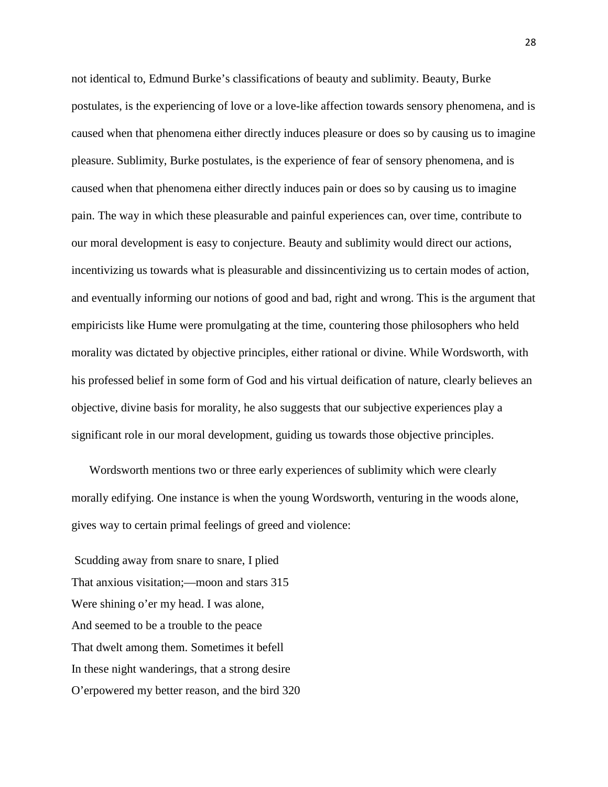not identical to, Edmund Burke's classifications of beauty and sublimity. Beauty, Burke postulates, is the experiencing of love or a love-like affection towards sensory phenomena, and is caused when that phenomena either directly induces pleasure or does so by causing us to imagine pleasure. Sublimity, Burke postulates, is the experience of fear of sensory phenomena, and is caused when that phenomena either directly induces pain or does so by causing us to imagine pain. The way in which these pleasurable and painful experiences can, over time, contribute to our moral development is easy to conjecture. Beauty and sublimity would direct our actions, incentivizing us towards what is pleasurable and dissincentivizing us to certain modes of action, and eventually informing our notions of good and bad, right and wrong. This is the argument that empiricists like Hume were promulgating at the time, countering those philosophers who held morality was dictated by objective principles, either rational or divine. While Wordsworth, with his professed belief in some form of God and his virtual deification of nature, clearly believes an objective, divine basis for morality, he also suggests that our subjective experiences play a significant role in our moral development, guiding us towards those objective principles.

 Wordsworth mentions two or three early experiences of sublimity which were clearly morally edifying. One instance is when the young Wordsworth, venturing in the woods alone, gives way to certain primal feelings of greed and violence:

Scudding away from snare to snare, I plied That anxious visitation;—moon and stars 315 Were shining o'er my head. I was alone, And seemed to be a trouble to the peace That dwelt among them. Sometimes it befell In these night wanderings, that a strong desire O'erpowered my better reason, and the bird 320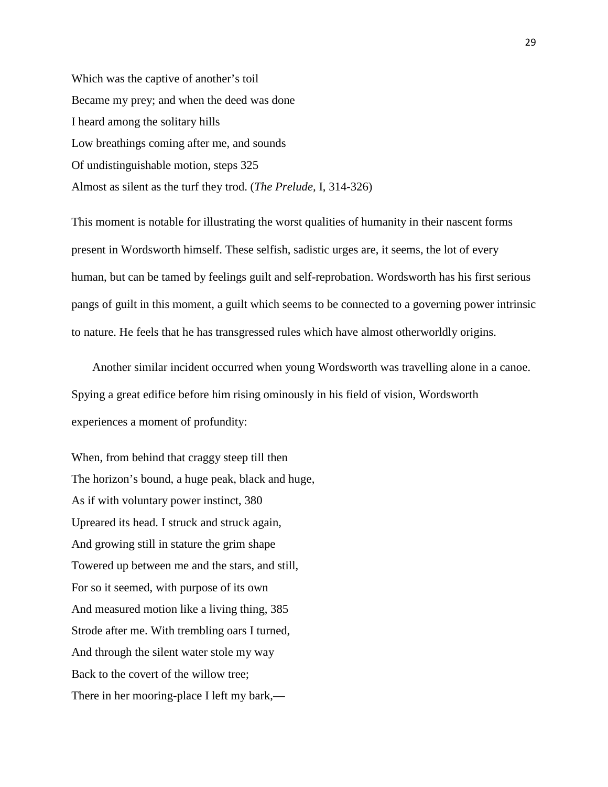Which was the captive of another's toil Became my prey; and when the deed was done I heard among the solitary hills Low breathings coming after me, and sounds Of undistinguishable motion, steps 325 Almost as silent as the turf they trod. (*The Prelude,* I, 314-326)

This moment is notable for illustrating the worst qualities of humanity in their nascent forms present in Wordsworth himself. These selfish, sadistic urges are, it seems, the lot of every human, but can be tamed by feelings guilt and self-reprobation. Wordsworth has his first serious pangs of guilt in this moment, a guilt which seems to be connected to a governing power intrinsic to nature. He feels that he has transgressed rules which have almost otherworldly origins.

 Another similar incident occurred when young Wordsworth was travelling alone in a canoe. Spying a great edifice before him rising ominously in his field of vision, Wordsworth experiences a moment of profundity:

When, from behind that craggy steep till then The horizon's bound, a huge peak, black and huge, As if with voluntary power instinct, 380 Upreared its head. I struck and struck again, And growing still in stature the grim shape Towered up between me and the stars, and still, For so it seemed, with purpose of its own And measured motion like a living thing, 385 Strode after me. With trembling oars I turned, And through the silent water stole my way Back to the covert of the willow tree; There in her mooring-place I left my bark,—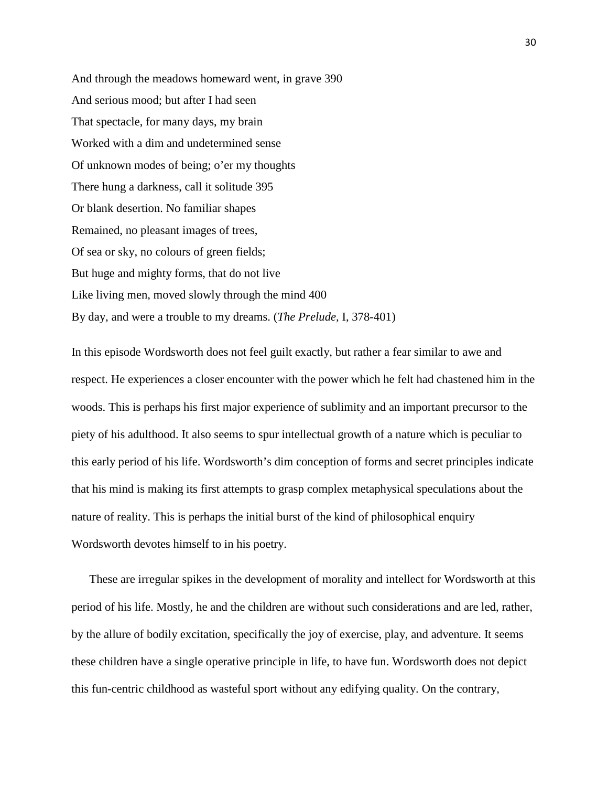And through the meadows homeward went, in grave 390 And serious mood; but after I had seen That spectacle, for many days, my brain Worked with a dim and undetermined sense Of unknown modes of being; o'er my thoughts There hung a darkness, call it solitude 395 Or blank desertion. No familiar shapes Remained, no pleasant images of trees, Of sea or sky, no colours of green fields; But huge and mighty forms, that do not live Like living men, moved slowly through the mind 400 By day, and were a trouble to my dreams. (*The Prelude,* I, 378-401)

In this episode Wordsworth does not feel guilt exactly, but rather a fear similar to awe and respect. He experiences a closer encounter with the power which he felt had chastened him in the woods. This is perhaps his first major experience of sublimity and an important precursor to the piety of his adulthood. It also seems to spur intellectual growth of a nature which is peculiar to this early period of his life. Wordsworth's dim conception of forms and secret principles indicate that his mind is making its first attempts to grasp complex metaphysical speculations about the nature of reality. This is perhaps the initial burst of the kind of philosophical enquiry Wordsworth devotes himself to in his poetry.

 These are irregular spikes in the development of morality and intellect for Wordsworth at this period of his life. Mostly, he and the children are without such considerations and are led, rather, by the allure of bodily excitation, specifically the joy of exercise, play, and adventure. It seems these children have a single operative principle in life, to have fun. Wordsworth does not depict this fun-centric childhood as wasteful sport without any edifying quality. On the contrary,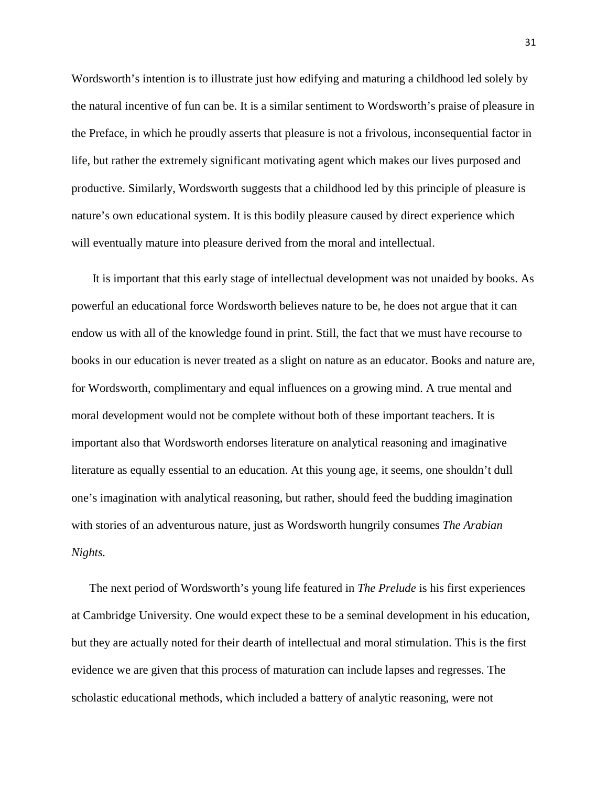Wordsworth's intention is to illustrate just how edifying and maturing a childhood led solely by the natural incentive of fun can be. It is a similar sentiment to Wordsworth's praise of pleasure in the Preface, in which he proudly asserts that pleasure is not a frivolous, inconsequential factor in life, but rather the extremely significant motivating agent which makes our lives purposed and productive. Similarly, Wordsworth suggests that a childhood led by this principle of pleasure is nature's own educational system. It is this bodily pleasure caused by direct experience which will eventually mature into pleasure derived from the moral and intellectual.

 It is important that this early stage of intellectual development was not unaided by books. As powerful an educational force Wordsworth believes nature to be, he does not argue that it can endow us with all of the knowledge found in print. Still, the fact that we must have recourse to books in our education is never treated as a slight on nature as an educator. Books and nature are, for Wordsworth, complimentary and equal influences on a growing mind. A true mental and moral development would not be complete without both of these important teachers. It is important also that Wordsworth endorses literature on analytical reasoning and imaginative literature as equally essential to an education. At this young age, it seems, one shouldn't dull one's imagination with analytical reasoning, but rather, should feed the budding imagination with stories of an adventurous nature, just as Wordsworth hungrily consumes *The Arabian Nights.*

 The next period of Wordsworth's young life featured in *The Prelude* is his first experiences at Cambridge University. One would expect these to be a seminal development in his education, but they are actually noted for their dearth of intellectual and moral stimulation. This is the first evidence we are given that this process of maturation can include lapses and regresses. The scholastic educational methods, which included a battery of analytic reasoning, were not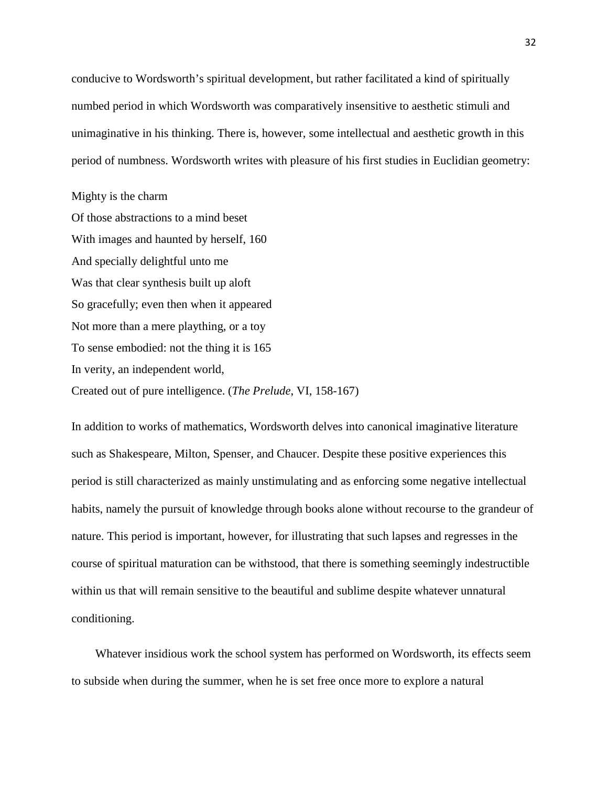conducive to Wordsworth's spiritual development, but rather facilitated a kind of spiritually numbed period in which Wordsworth was comparatively insensitive to aesthetic stimuli and unimaginative in his thinking. There is, however, some intellectual and aesthetic growth in this period of numbness. Wordsworth writes with pleasure of his first studies in Euclidian geometry:

Mighty is the charm Of those abstractions to a mind beset With images and haunted by herself, 160 And specially delightful unto me Was that clear synthesis built up aloft So gracefully; even then when it appeared Not more than a mere plaything, or a toy To sense embodied: not the thing it is 165 In verity, an independent world, Created out of pure intelligence. (*The Prelude*, VI, 158-167)

In addition to works of mathematics, Wordsworth delves into canonical imaginative literature such as Shakespeare, Milton, Spenser, and Chaucer. Despite these positive experiences this period is still characterized as mainly unstimulating and as enforcing some negative intellectual habits, namely the pursuit of knowledge through books alone without recourse to the grandeur of nature. This period is important, however, for illustrating that such lapses and regresses in the course of spiritual maturation can be withstood, that there is something seemingly indestructible within us that will remain sensitive to the beautiful and sublime despite whatever unnatural conditioning.

 Whatever insidious work the school system has performed on Wordsworth, its effects seem to subside when during the summer, when he is set free once more to explore a natural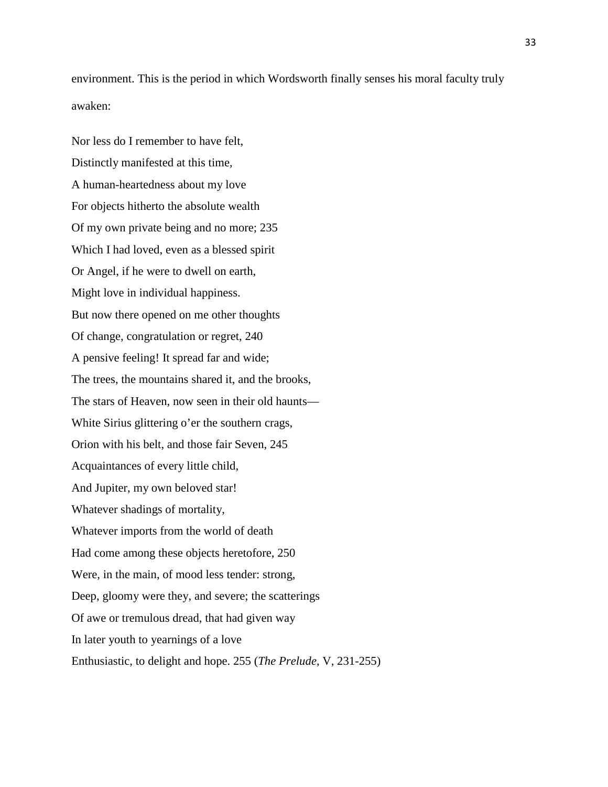environment. This is the period in which Wordsworth finally senses his moral faculty truly awaken:

Nor less do I remember to have felt, Distinctly manifested at this time, A human-heartedness about my love For objects hitherto the absolute wealth Of my own private being and no more; 235 Which I had loved, even as a blessed spirit Or Angel, if he were to dwell on earth, Might love in individual happiness. But now there opened on me other thoughts Of change, congratulation or regret, 240 A pensive feeling! It spread far and wide; The trees, the mountains shared it, and the brooks, The stars of Heaven, now seen in their old haunts— White Sirius glittering o'er the southern crags, Orion with his belt, and those fair Seven, 245 Acquaintances of every little child, And Jupiter, my own beloved star! Whatever shadings of mortality, Whatever imports from the world of death Had come among these objects heretofore, 250 Were, in the main, of mood less tender: strong, Deep, gloomy were they, and severe; the scatterings Of awe or tremulous dread, that had given way In later youth to yearnings of a love Enthusiastic, to delight and hope. 255 (*The Prelude*, V, 231-255)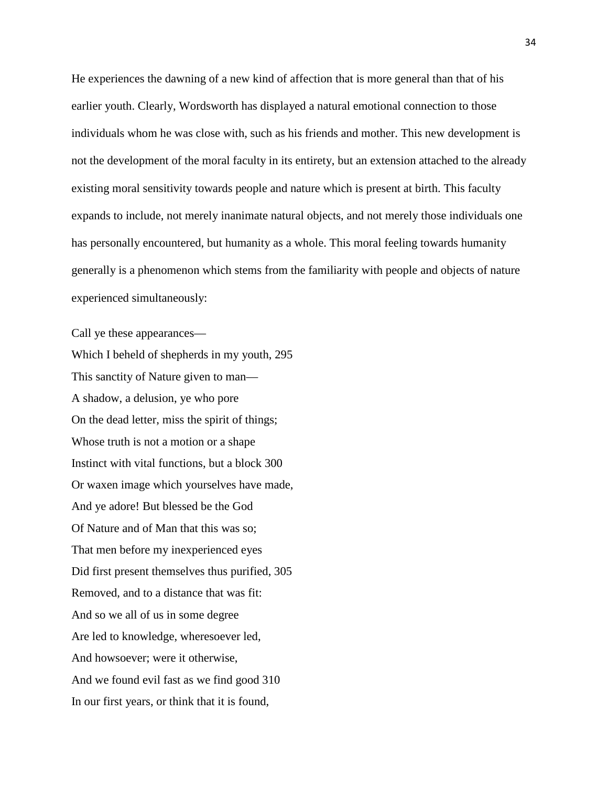He experiences the dawning of a new kind of affection that is more general than that of his earlier youth. Clearly, Wordsworth has displayed a natural emotional connection to those individuals whom he was close with, such as his friends and mother. This new development is not the development of the moral faculty in its entirety, but an extension attached to the already existing moral sensitivity towards people and nature which is present at birth. This faculty expands to include, not merely inanimate natural objects, and not merely those individuals one has personally encountered, but humanity as a whole. This moral feeling towards humanity generally is a phenomenon which stems from the familiarity with people and objects of nature experienced simultaneously:

Call ye these appearances—

Which I beheld of shepherds in my youth, 295 This sanctity of Nature given to man— A shadow, a delusion, ye who pore On the dead letter, miss the spirit of things; Whose truth is not a motion or a shape Instinct with vital functions, but a block 300 Or waxen image which yourselves have made, And ye adore! But blessed be the God Of Nature and of Man that this was so; That men before my inexperienced eyes Did first present themselves thus purified, 305 Removed, and to a distance that was fit: And so we all of us in some degree Are led to knowledge, wheresoever led, And howsoever; were it otherwise, And we found evil fast as we find good 310 In our first years, or think that it is found,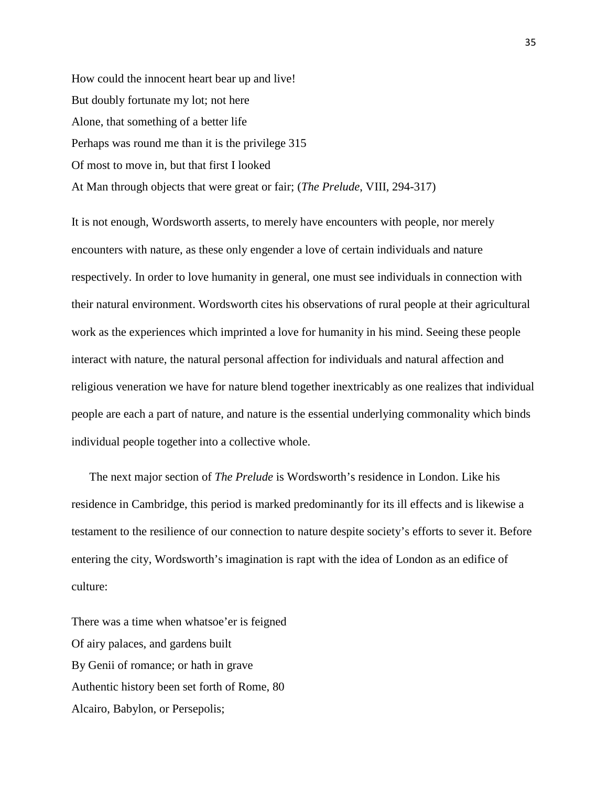How could the innocent heart bear up and live! But doubly fortunate my lot; not here Alone, that something of a better life Perhaps was round me than it is the privilege 315 Of most to move in, but that first I looked At Man through objects that were great or fair; (*The Prelude*, VIII, 294-317)

It is not enough, Wordsworth asserts, to merely have encounters with people, nor merely encounters with nature, as these only engender a love of certain individuals and nature respectively. In order to love humanity in general, one must see individuals in connection with their natural environment. Wordsworth cites his observations of rural people at their agricultural work as the experiences which imprinted a love for humanity in his mind. Seeing these people interact with nature, the natural personal affection for individuals and natural affection and religious veneration we have for nature blend together inextricably as one realizes that individual people are each a part of nature, and nature is the essential underlying commonality which binds individual people together into a collective whole.

 The next major section of *The Prelude* is Wordsworth's residence in London. Like his residence in Cambridge, this period is marked predominantly for its ill effects and is likewise a testament to the resilience of our connection to nature despite society's efforts to sever it. Before entering the city, Wordsworth's imagination is rapt with the idea of London as an edifice of culture:

There was a time when whatsoe'er is feigned Of airy palaces, and gardens built By Genii of romance; or hath in grave Authentic history been set forth of Rome, 80 Alcairo, Babylon, or Persepolis;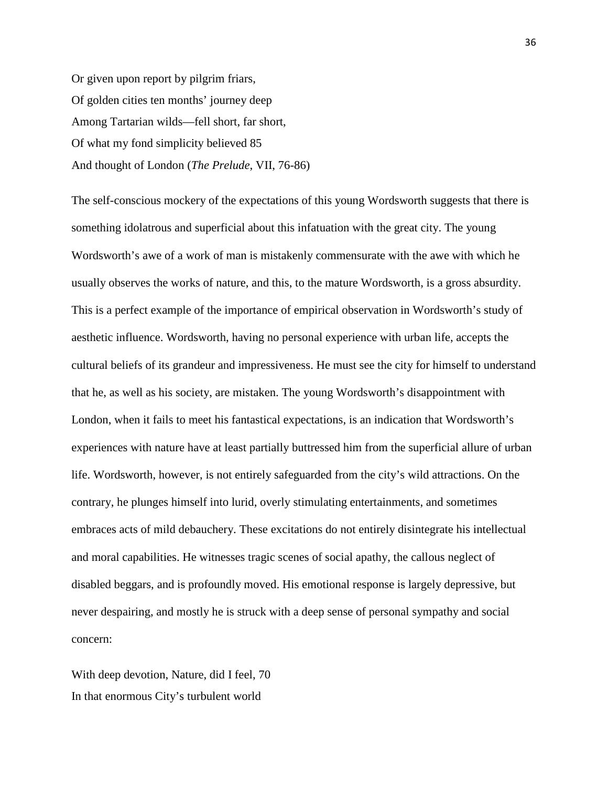Or given upon report by pilgrim friars, Of golden cities ten months' journey deep Among Tartarian wilds—fell short, far short, Of what my fond simplicity believed 85 And thought of London (*The Prelude*, VII, 76-86)

The self-conscious mockery of the expectations of this young Wordsworth suggests that there is something idolatrous and superficial about this infatuation with the great city. The young Wordsworth's awe of a work of man is mistakenly commensurate with the awe with which he usually observes the works of nature, and this, to the mature Wordsworth, is a gross absurdity. This is a perfect example of the importance of empirical observation in Wordsworth's study of aesthetic influence. Wordsworth, having no personal experience with urban life, accepts the cultural beliefs of its grandeur and impressiveness. He must see the city for himself to understand that he, as well as his society, are mistaken. The young Wordsworth's disappointment with London, when it fails to meet his fantastical expectations, is an indication that Wordsworth's experiences with nature have at least partially buttressed him from the superficial allure of urban life. Wordsworth, however, is not entirely safeguarded from the city's wild attractions. On the contrary, he plunges himself into lurid, overly stimulating entertainments, and sometimes embraces acts of mild debauchery. These excitations do not entirely disintegrate his intellectual and moral capabilities. He witnesses tragic scenes of social apathy, the callous neglect of disabled beggars, and is profoundly moved. His emotional response is largely depressive, but never despairing, and mostly he is struck with a deep sense of personal sympathy and social concern:

With deep devotion, Nature, did I feel, 70 In that enormous City's turbulent world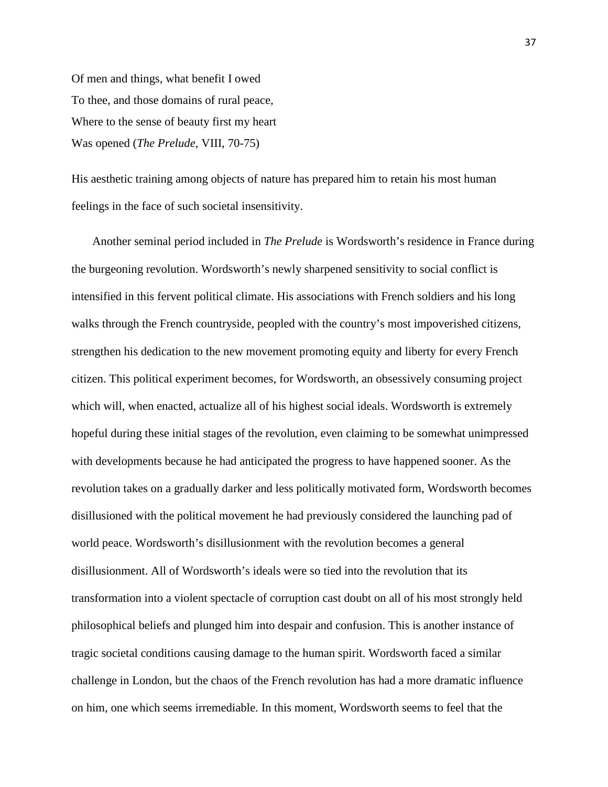Of men and things, what benefit I owed To thee, and those domains of rural peace, Where to the sense of beauty first my heart Was opened (*The Prelude*, VIII, 70-75)

His aesthetic training among objects of nature has prepared him to retain his most human feelings in the face of such societal insensitivity.

 Another seminal period included in *The Prelude* is Wordsworth's residence in France during the burgeoning revolution. Wordsworth's newly sharpened sensitivity to social conflict is intensified in this fervent political climate. His associations with French soldiers and his long walks through the French countryside, peopled with the country's most impoverished citizens, strengthen his dedication to the new movement promoting equity and liberty for every French citizen. This political experiment becomes, for Wordsworth, an obsessively consuming project which will, when enacted, actualize all of his highest social ideals. Wordsworth is extremely hopeful during these initial stages of the revolution, even claiming to be somewhat unimpressed with developments because he had anticipated the progress to have happened sooner. As the revolution takes on a gradually darker and less politically motivated form, Wordsworth becomes disillusioned with the political movement he had previously considered the launching pad of world peace. Wordsworth's disillusionment with the revolution becomes a general disillusionment. All of Wordsworth's ideals were so tied into the revolution that its transformation into a violent spectacle of corruption cast doubt on all of his most strongly held philosophical beliefs and plunged him into despair and confusion. This is another instance of tragic societal conditions causing damage to the human spirit. Wordsworth faced a similar challenge in London, but the chaos of the French revolution has had a more dramatic influence on him, one which seems irremediable. In this moment, Wordsworth seems to feel that the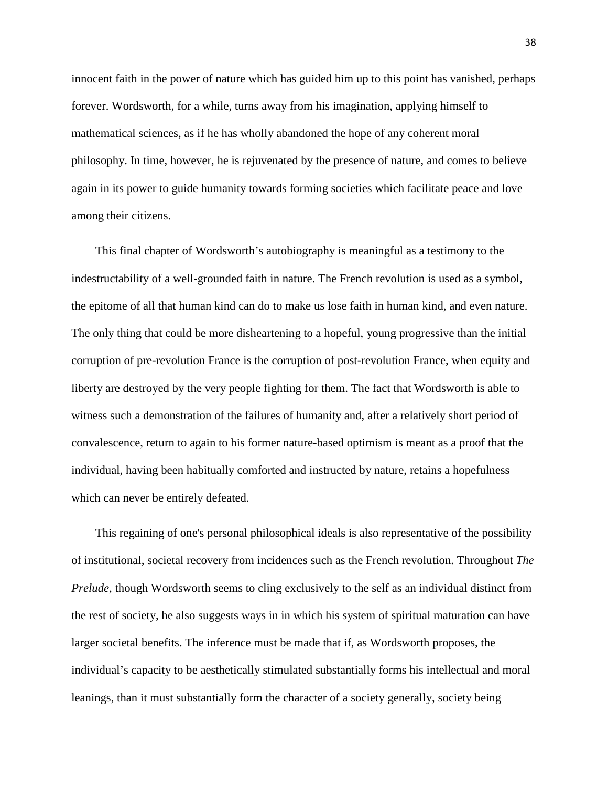innocent faith in the power of nature which has guided him up to this point has vanished, perhaps forever. Wordsworth, for a while, turns away from his imagination, applying himself to mathematical sciences, as if he has wholly abandoned the hope of any coherent moral philosophy. In time, however, he is rejuvenated by the presence of nature, and comes to believe again in its power to guide humanity towards forming societies which facilitate peace and love among their citizens.

 This final chapter of Wordsworth's autobiography is meaningful as a testimony to the indestructability of a well-grounded faith in nature. The French revolution is used as a symbol, the epitome of all that human kind can do to make us lose faith in human kind, and even nature. The only thing that could be more disheartening to a hopeful, young progressive than the initial corruption of pre-revolution France is the corruption of post-revolution France, when equity and liberty are destroyed by the very people fighting for them. The fact that Wordsworth is able to witness such a demonstration of the failures of humanity and, after a relatively short period of convalescence, return to again to his former nature-based optimism is meant as a proof that the individual, having been habitually comforted and instructed by nature, retains a hopefulness which can never be entirely defeated.

 This regaining of one's personal philosophical ideals is also representative of the possibility of institutional, societal recovery from incidences such as the French revolution. Throughout *The Prelude*, though Wordsworth seems to cling exclusively to the self as an individual distinct from the rest of society, he also suggests ways in in which his system of spiritual maturation can have larger societal benefits. The inference must be made that if, as Wordsworth proposes, the individual's capacity to be aesthetically stimulated substantially forms his intellectual and moral leanings, than it must substantially form the character of a society generally, society being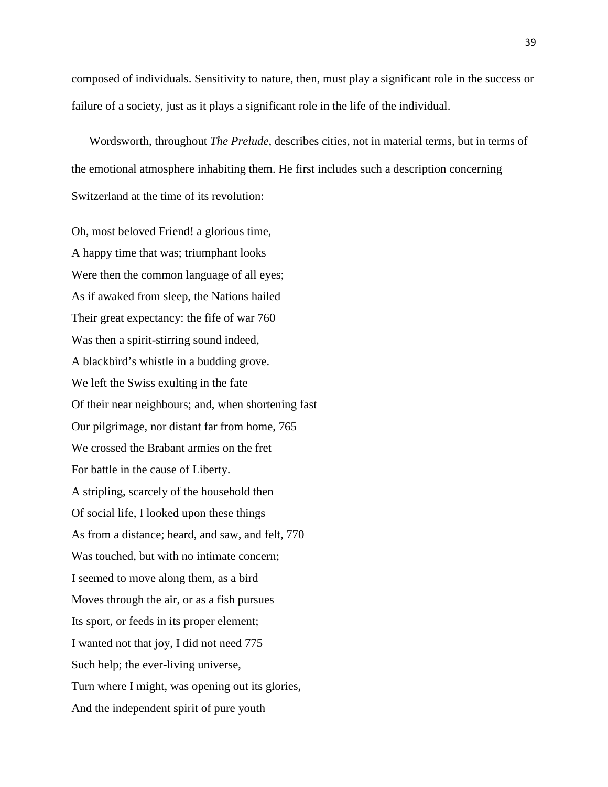composed of individuals. Sensitivity to nature, then, must play a significant role in the success or failure of a society, just as it plays a significant role in the life of the individual.

 Wordsworth, throughout *The Prelude*, describes cities, not in material terms, but in terms of the emotional atmosphere inhabiting them. He first includes such a description concerning Switzerland at the time of its revolution:

Oh, most beloved Friend! a glorious time, A happy time that was; triumphant looks Were then the common language of all eyes; As if awaked from sleep, the Nations hailed Their great expectancy: the fife of war 760 Was then a spirit-stirring sound indeed, A blackbird's whistle in a budding grove. We left the Swiss exulting in the fate Of their near neighbours; and, when shortening fast Our pilgrimage, nor distant far from home, 765 We crossed the Brabant armies on the fret For battle in the cause of Liberty. A stripling, scarcely of the household then Of social life, I looked upon these things As from a distance; heard, and saw, and felt, 770 Was touched, but with no intimate concern; I seemed to move along them, as a bird Moves through the air, or as a fish pursues Its sport, or feeds in its proper element; I wanted not that joy, I did not need 775 Such help; the ever-living universe, Turn where I might, was opening out its glories, And the independent spirit of pure youth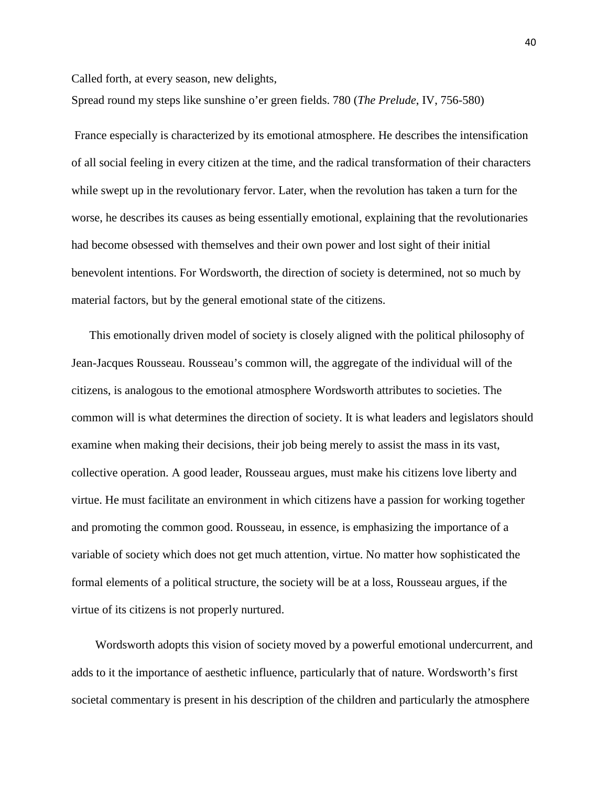Called forth, at every season, new delights,

Spread round my steps like sunshine o'er green fields. 780 (*The Prelude*, IV, 756-580)

France especially is characterized by its emotional atmosphere. He describes the intensification of all social feeling in every citizen at the time, and the radical transformation of their characters while swept up in the revolutionary fervor. Later, when the revolution has taken a turn for the worse, he describes its causes as being essentially emotional, explaining that the revolutionaries had become obsessed with themselves and their own power and lost sight of their initial benevolent intentions. For Wordsworth, the direction of society is determined, not so much by material factors, but by the general emotional state of the citizens.

 This emotionally driven model of society is closely aligned with the political philosophy of Jean-Jacques Rousseau. Rousseau's common will, the aggregate of the individual will of the citizens, is analogous to the emotional atmosphere Wordsworth attributes to societies. The common will is what determines the direction of society. It is what leaders and legislators should examine when making their decisions, their job being merely to assist the mass in its vast, collective operation. A good leader, Rousseau argues, must make his citizens love liberty and virtue. He must facilitate an environment in which citizens have a passion for working together and promoting the common good. Rousseau, in essence, is emphasizing the importance of a variable of society which does not get much attention, virtue. No matter how sophisticated the formal elements of a political structure, the society will be at a loss, Rousseau argues, if the virtue of its citizens is not properly nurtured.

 Wordsworth adopts this vision of society moved by a powerful emotional undercurrent, and adds to it the importance of aesthetic influence, particularly that of nature. Wordsworth's first societal commentary is present in his description of the children and particularly the atmosphere

40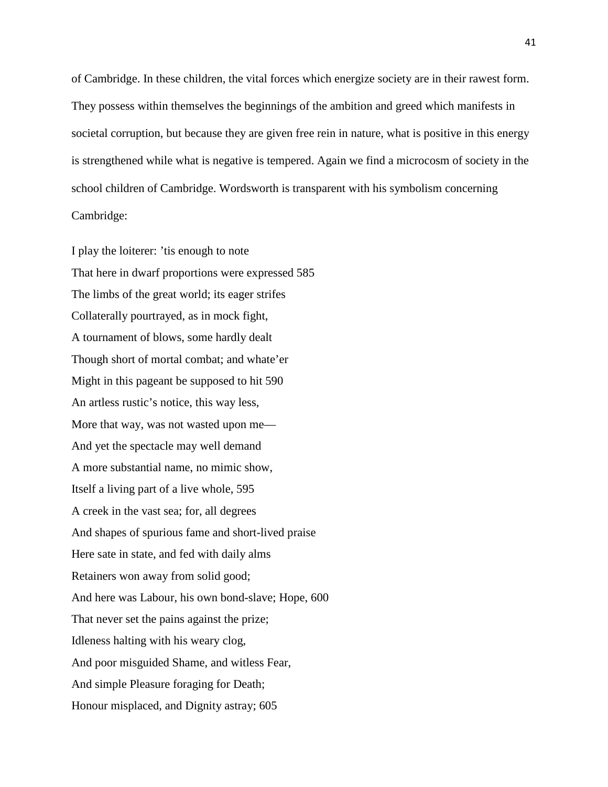of Cambridge. In these children, the vital forces which energize society are in their rawest form. They possess within themselves the beginnings of the ambition and greed which manifests in societal corruption, but because they are given free rein in nature, what is positive in this energy is strengthened while what is negative is tempered. Again we find a microcosm of society in the school children of Cambridge. Wordsworth is transparent with his symbolism concerning Cambridge:

I play the loiterer: 'tis enough to note That here in dwarf proportions were expressed 585 The limbs of the great world; its eager strifes Collaterally pourtrayed, as in mock fight, A tournament of blows, some hardly dealt Though short of mortal combat; and whate'er Might in this pageant be supposed to hit 590 An artless rustic's notice, this way less, More that way, was not wasted upon me— And yet the spectacle may well demand A more substantial name, no mimic show, Itself a living part of a live whole, 595 A creek in the vast sea; for, all degrees And shapes of spurious fame and short-lived praise Here sate in state, and fed with daily alms Retainers won away from solid good; And here was Labour, his own bond-slave; Hope, 600 That never set the pains against the prize; Idleness halting with his weary clog, And poor misguided Shame, and witless Fear, And simple Pleasure foraging for Death; Honour misplaced, and Dignity astray; 605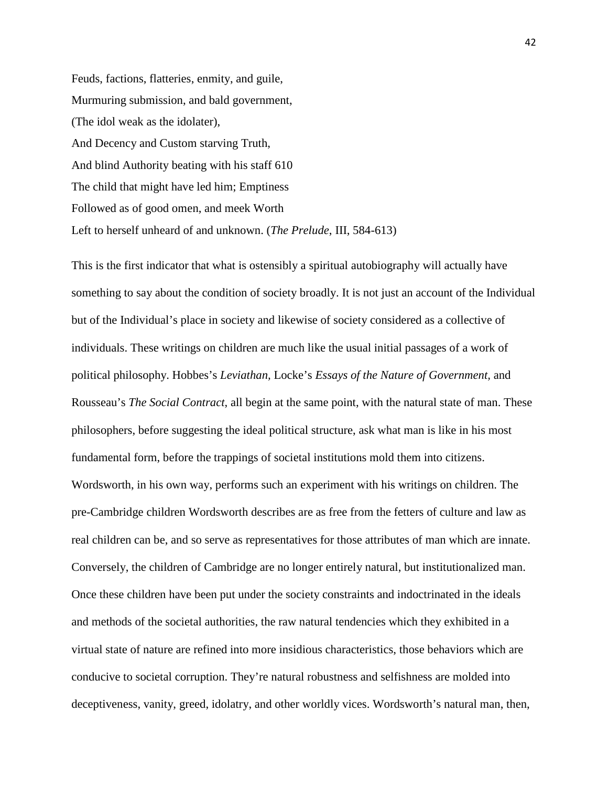Feuds, factions, flatteries, enmity, and guile, Murmuring submission, and bald government, (The idol weak as the idolater), And Decency and Custom starving Truth, And blind Authority beating with his staff 610 The child that might have led him; Emptiness Followed as of good omen, and meek Worth Left to herself unheard of and unknown. (*The Prelude*, III, 584-613)

This is the first indicator that what is ostensibly a spiritual autobiography will actually have something to say about the condition of society broadly. It is not just an account of the Individual but of the Individual's place in society and likewise of society considered as a collective of individuals. These writings on children are much like the usual initial passages of a work of political philosophy. Hobbes's *Leviathan,* Locke's *Essays of the Nature of Government,* and Rousseau's *The Social Contract*, all begin at the same point, with the natural state of man. These philosophers, before suggesting the ideal political structure, ask what man is like in his most fundamental form, before the trappings of societal institutions mold them into citizens. Wordsworth, in his own way, performs such an experiment with his writings on children. The pre-Cambridge children Wordsworth describes are as free from the fetters of culture and law as real children can be, and so serve as representatives for those attributes of man which are innate. Conversely, the children of Cambridge are no longer entirely natural, but institutionalized man. Once these children have been put under the society constraints and indoctrinated in the ideals and methods of the societal authorities, the raw natural tendencies which they exhibited in a virtual state of nature are refined into more insidious characteristics, those behaviors which are conducive to societal corruption. They're natural robustness and selfishness are molded into deceptiveness, vanity, greed, idolatry, and other worldly vices. Wordsworth's natural man, then,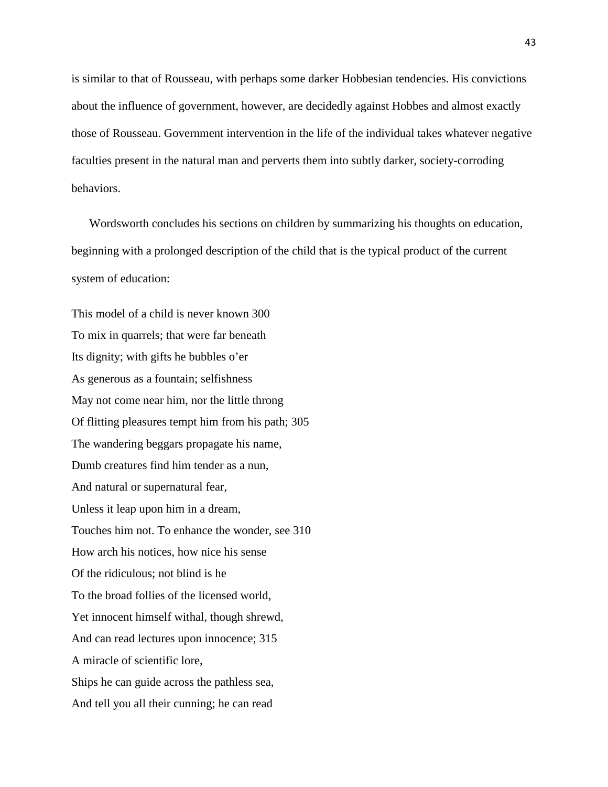is similar to that of Rousseau, with perhaps some darker Hobbesian tendencies. His convictions about the influence of government, however, are decidedly against Hobbes and almost exactly those of Rousseau. Government intervention in the life of the individual takes whatever negative faculties present in the natural man and perverts them into subtly darker, society-corroding behaviors.

 Wordsworth concludes his sections on children by summarizing his thoughts on education, beginning with a prolonged description of the child that is the typical product of the current system of education:

This model of a child is never known 300 To mix in quarrels; that were far beneath Its dignity; with gifts he bubbles o'er As generous as a fountain; selfishness May not come near him, nor the little throng Of flitting pleasures tempt him from his path; 305 The wandering beggars propagate his name, Dumb creatures find him tender as a nun, And natural or supernatural fear, Unless it leap upon him in a dream, Touches him not. To enhance the wonder, see 310 How arch his notices, how nice his sense Of the ridiculous; not blind is he To the broad follies of the licensed world, Yet innocent himself withal, though shrewd, And can read lectures upon innocence; 315 A miracle of scientific lore, Ships he can guide across the pathless sea, And tell you all their cunning; he can read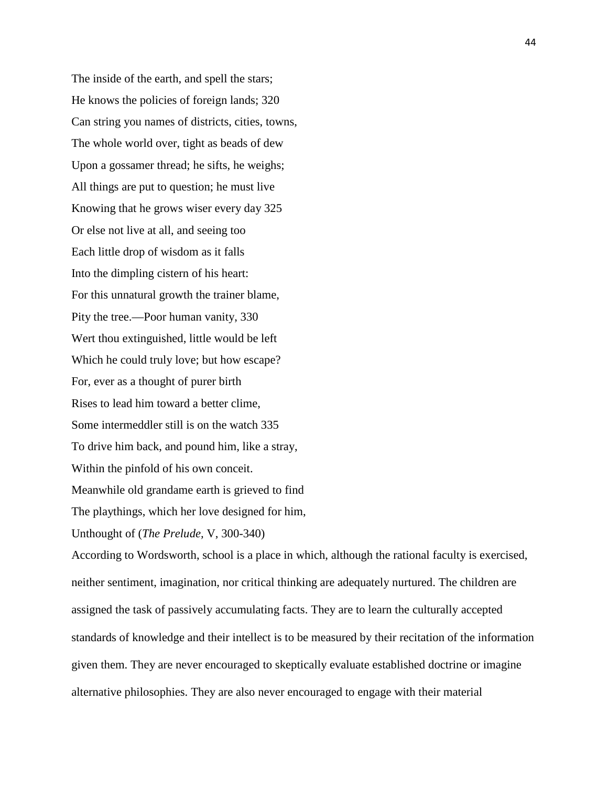The inside of the earth, and spell the stars; He knows the policies of foreign lands; 320 Can string you names of districts, cities, towns, The whole world over, tight as beads of dew Upon a gossamer thread; he sifts, he weighs; All things are put to question; he must live Knowing that he grows wiser every day 325 Or else not live at all, and seeing too Each little drop of wisdom as it falls Into the dimpling cistern of his heart: For this unnatural growth the trainer blame, Pity the tree.—Poor human vanity, 330 Wert thou extinguished, little would be left Which he could truly love; but how escape? For, ever as a thought of purer birth Rises to lead him toward a better clime, Some intermeddler still is on the watch 335 To drive him back, and pound him, like a stray, Within the pinfold of his own conceit. Meanwhile old grandame earth is grieved to find The playthings, which her love designed for him, Unthought of (*The Prelude,* V, 300-340) According to Wordsworth, school is a place in which, although the rational faculty is exercised,

neither sentiment, imagination, nor critical thinking are adequately nurtured. The children are assigned the task of passively accumulating facts. They are to learn the culturally accepted standards of knowledge and their intellect is to be measured by their recitation of the information given them. They are never encouraged to skeptically evaluate established doctrine or imagine alternative philosophies. They are also never encouraged to engage with their material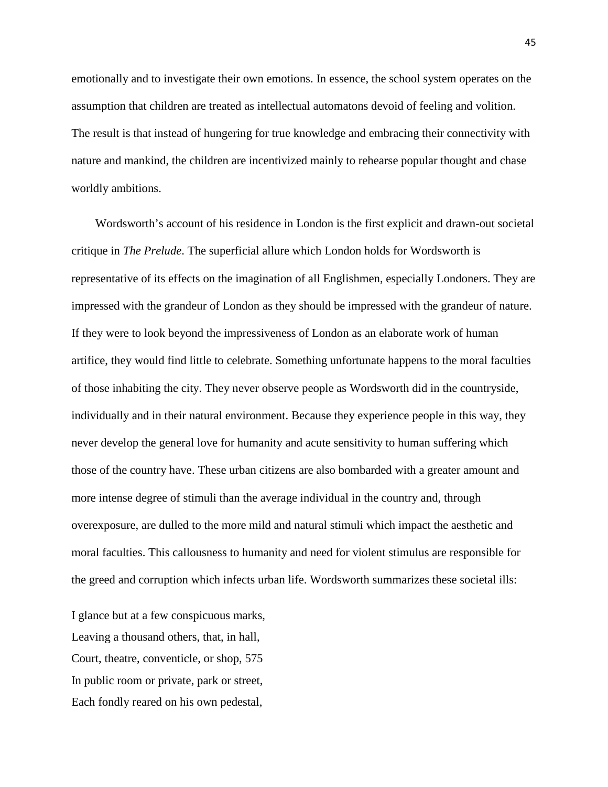emotionally and to investigate their own emotions. In essence, the school system operates on the assumption that children are treated as intellectual automatons devoid of feeling and volition. The result is that instead of hungering for true knowledge and embracing their connectivity with nature and mankind, the children are incentivized mainly to rehearse popular thought and chase worldly ambitions.

 Wordsworth's account of his residence in London is the first explicit and drawn-out societal critique in *The Prelude*. The superficial allure which London holds for Wordsworth is representative of its effects on the imagination of all Englishmen, especially Londoners. They are impressed with the grandeur of London as they should be impressed with the grandeur of nature. If they were to look beyond the impressiveness of London as an elaborate work of human artifice, they would find little to celebrate. Something unfortunate happens to the moral faculties of those inhabiting the city. They never observe people as Wordsworth did in the countryside, individually and in their natural environment. Because they experience people in this way, they never develop the general love for humanity and acute sensitivity to human suffering which those of the country have. These urban citizens are also bombarded with a greater amount and more intense degree of stimuli than the average individual in the country and, through overexposure, are dulled to the more mild and natural stimuli which impact the aesthetic and moral faculties. This callousness to humanity and need for violent stimulus are responsible for the greed and corruption which infects urban life. Wordsworth summarizes these societal ills:

I glance but at a few conspicuous marks, Leaving a thousand others, that, in hall, Court, theatre, conventicle, or shop, 575 In public room or private, park or street, Each fondly reared on his own pedestal,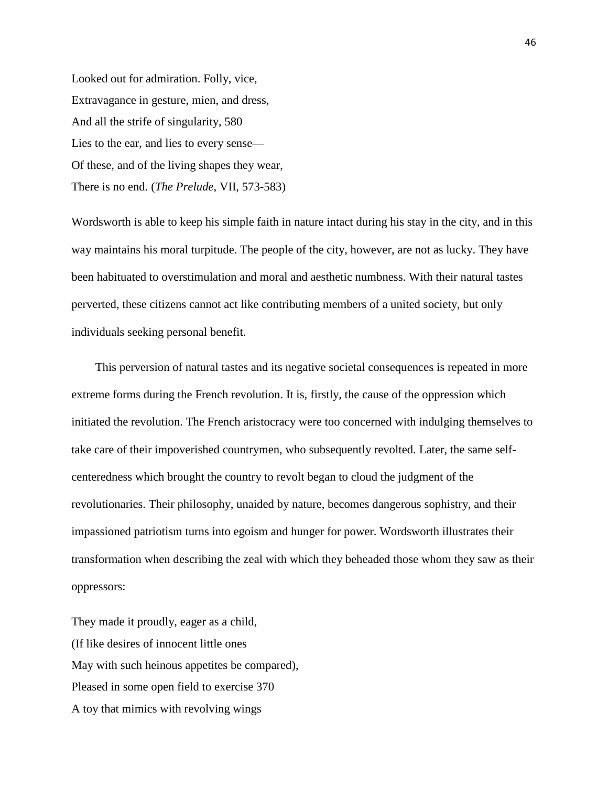Looked out for admiration. Folly, vice, Extravagance in gesture, mien, and dress, And all the strife of singularity, 580 Lies to the ear, and lies to every sense— Of these, and of the living shapes they wear, There is no end. (*The Prelude*, VII, 573-583)

Wordsworth is able to keep his simple faith in nature intact during his stay in the city, and in this way maintains his moral turpitude. The people of the city, however, are not as lucky. They have been habituated to overstimulation and moral and aesthetic numbness. With their natural tastes perverted, these citizens cannot act like contributing members of a united society, but only individuals seeking personal benefit.

 This perversion of natural tastes and its negative societal consequences is repeated in more extreme forms during the French revolution. It is, firstly, the cause of the oppression which initiated the revolution. The French aristocracy were too concerned with indulging themselves to take care of their impoverished countrymen, who subsequently revolted. Later, the same selfcenteredness which brought the country to revolt began to cloud the judgment of the revolutionaries. Their philosophy, unaided by nature, becomes dangerous sophistry, and their impassioned patriotism turns into egoism and hunger for power. Wordsworth illustrates their transformation when describing the zeal with which they beheaded those whom they saw as their oppressors:

They made it proudly, eager as a child, (If like desires of innocent little ones May with such heinous appetites be compared), Pleased in some open field to exercise 370 A toy that mimics with revolving wings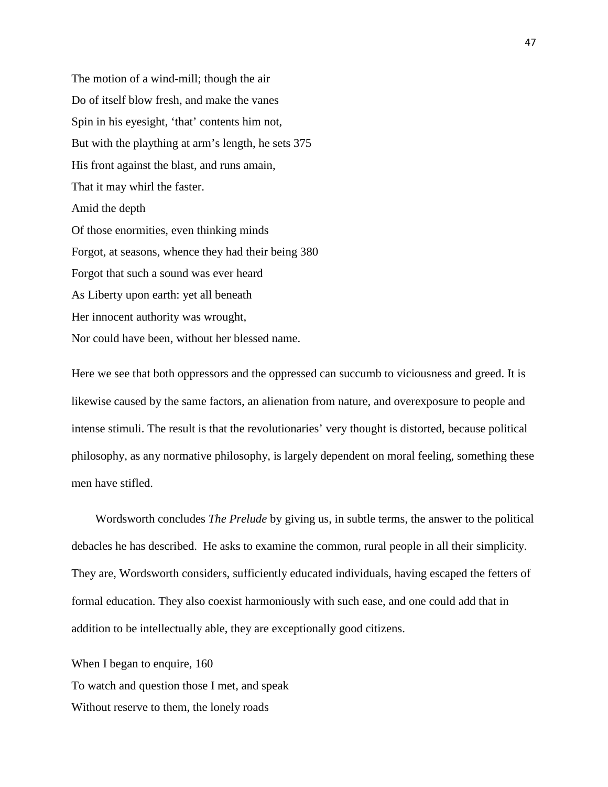The motion of a wind-mill; though the air Do of itself blow fresh, and make the vanes Spin in his eyesight, 'that' contents him not, But with the plaything at arm's length, he sets 375 His front against the blast, and runs amain, That it may whirl the faster. Amid the depth Of those enormities, even thinking minds Forgot, at seasons, whence they had their being 380 Forgot that such a sound was ever heard As Liberty upon earth: yet all beneath Her innocent authority was wrought, Nor could have been, without her blessed name.

Here we see that both oppressors and the oppressed can succumb to viciousness and greed. It is likewise caused by the same factors, an alienation from nature, and overexposure to people and intense stimuli. The result is that the revolutionaries' very thought is distorted, because political philosophy, as any normative philosophy, is largely dependent on moral feeling, something these men have stifled.

 Wordsworth concludes *The Prelude* by giving us, in subtle terms, the answer to the political debacles he has described. He asks to examine the common, rural people in all their simplicity. They are, Wordsworth considers, sufficiently educated individuals, having escaped the fetters of formal education. They also coexist harmoniously with such ease, and one could add that in addition to be intellectually able, they are exceptionally good citizens.

When I began to enquire, 160 To watch and question those I met, and speak Without reserve to them, the lonely roads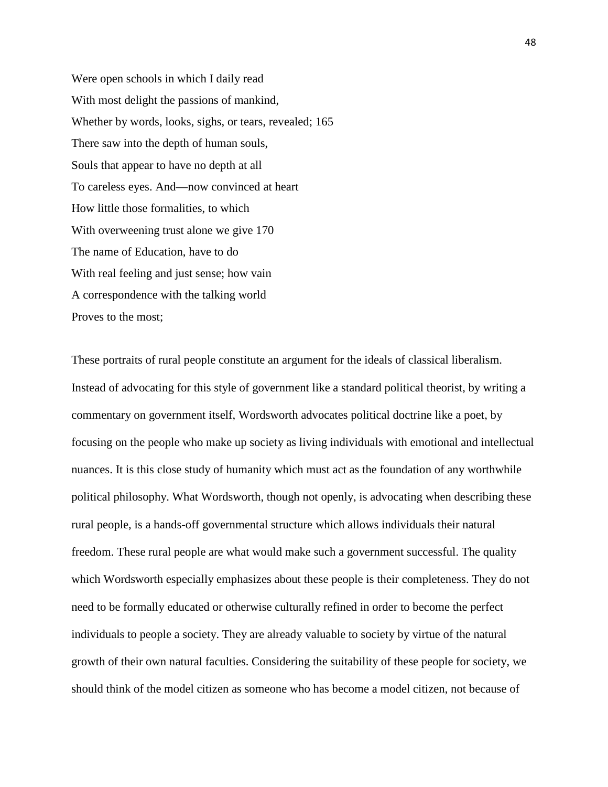Were open schools in which I daily read With most delight the passions of mankind, Whether by words, looks, sighs, or tears, revealed; 165 There saw into the depth of human souls, Souls that appear to have no depth at all To careless eyes. And—now convinced at heart How little those formalities, to which With overweening trust alone we give 170 The name of Education, have to do With real feeling and just sense; how vain A correspondence with the talking world Proves to the most;

These portraits of rural people constitute an argument for the ideals of classical liberalism. Instead of advocating for this style of government like a standard political theorist, by writing a commentary on government itself, Wordsworth advocates political doctrine like a poet, by focusing on the people who make up society as living individuals with emotional and intellectual nuances. It is this close study of humanity which must act as the foundation of any worthwhile political philosophy. What Wordsworth, though not openly, is advocating when describing these rural people, is a hands-off governmental structure which allows individuals their natural freedom. These rural people are what would make such a government successful. The quality which Wordsworth especially emphasizes about these people is their completeness. They do not need to be formally educated or otherwise culturally refined in order to become the perfect individuals to people a society. They are already valuable to society by virtue of the natural growth of their own natural faculties. Considering the suitability of these people for society, we should think of the model citizen as someone who has become a model citizen, not because of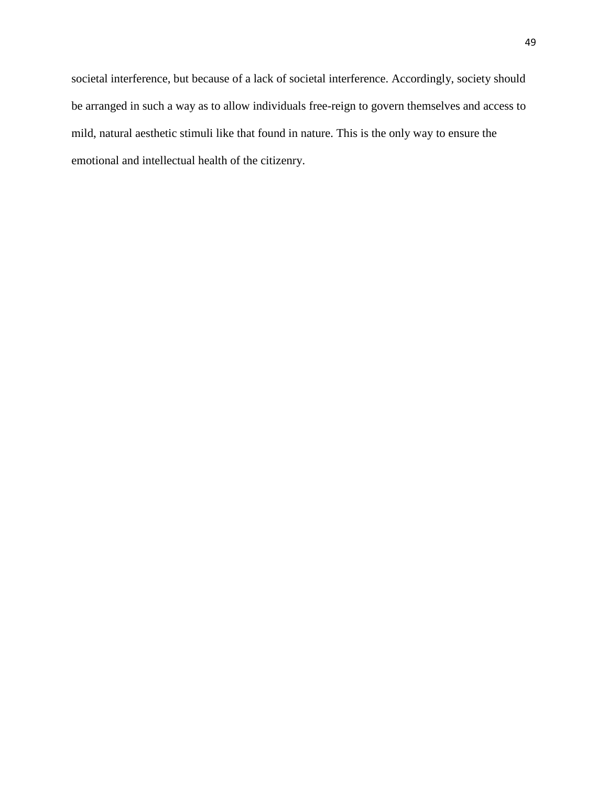societal interference, but because of a lack of societal interference. Accordingly, society should be arranged in such a way as to allow individuals free-reign to govern themselves and access to mild, natural aesthetic stimuli like that found in nature. This is the only way to ensure the emotional and intellectual health of the citizenry.